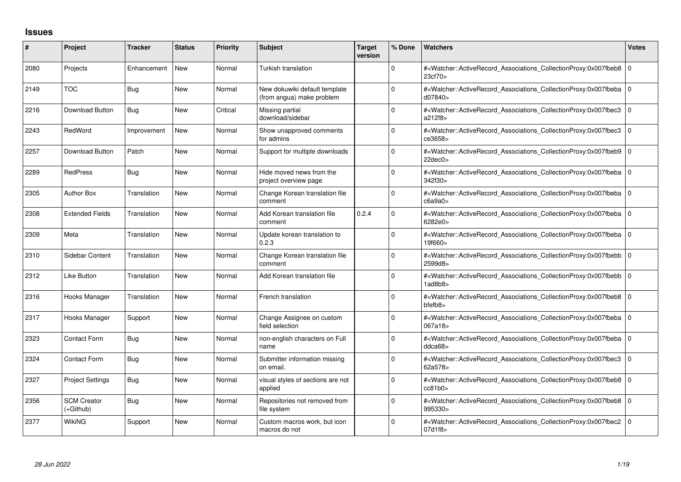## **Issues**

| #    | Project                         | <b>Tracker</b> | <b>Status</b> | Priority | <b>Subject</b>                                             | <b>Target</b><br>version | % Done       | <b>Watchers</b>                                                                                                                                          | <b>Votes</b> |
|------|---------------------------------|----------------|---------------|----------|------------------------------------------------------------|--------------------------|--------------|----------------------------------------------------------------------------------------------------------------------------------------------------------|--------------|
| 2080 | Projects                        | Enhancement    | <b>New</b>    | Normal   | Turkish translation                                        |                          | <sup>0</sup> | # <watcher::activerecord associations="" collectionproxy:0x007fbeb8<br="">23cf70&gt;</watcher::activerecord>                                             | l O          |
| 2149 | <b>TOC</b>                      | <b>Bug</b>     | <b>New</b>    | Normal   | New dokuwiki default template<br>(from angua) make problem |                          | $\Omega$     | # <watcher::activerecord 0<br="" associations="" collectionproxy:0x007fbeba=""  ="">d07840&gt;</watcher::activerecord>                                   |              |
| 2216 | Download Button                 | Bug            | <b>New</b>    | Critical | Missing partial<br>download/sidebar                        |                          | <sup>0</sup> | # <watcher::activerecord_associations_collectionproxy:0x007fbec3<br>a212f8&gt;</watcher::activerecord_associations_collectionproxy:0x007fbec3<br>        | l O          |
| 2243 | RedWord                         | Improvement    | <b>New</b>    | Normal   | Show unapproved comments<br>for admins                     |                          | <sup>0</sup> | # <watcher::activerecord associations="" collectionproxy:0x007fbec3<br="">ce3658&gt;</watcher::activerecord>                                             | I٥           |
| 2257 | Download Button                 | Patch          | <b>New</b>    | Normal   | Support for multiple downloads                             |                          | 0            | # <watcher::activerecord 0<br="" associations="" collectionproxy:0x007fbeb9=""  =""><math>22</math>dec<math>0</math></watcher::activerecord>             |              |
| 2289 | <b>RedPress</b>                 | Bug            | <b>New</b>    | Normal   | Hide moved news from the<br>project overview page          |                          | $\Omega$     | # <watcher::activerecord_associations_collectionproxy:0x007fbeba 0<br=""  ="">342f30&gt;</watcher::activerecord_associations_collectionproxy:0x007fbeba> |              |
| 2305 | <b>Author Box</b>               | Translation    | <b>New</b>    | Normal   | Change Korean translation file<br>comment                  |                          | $\Omega$     | # <watcher::activerecord 0<br="" associations="" collectionproxy:0x007fbeba=""  ="">c6a9a0</watcher::activerecord>                                       |              |
| 2308 | <b>Extended Fields</b>          | Translation    | <b>New</b>    | Normal   | Add Korean translation file<br>comment                     | 0.2.4                    | 0            | # <watcher::activerecord_associations_collectionproxy:0x007fbeba 0<br=""  ="">6282e0&gt;</watcher::activerecord_associations_collectionproxy:0x007fbeba> |              |
| 2309 | Meta                            | Translation    | <b>New</b>    | Normal   | Update korean translation to<br>0.2.3                      |                          | $\Omega$     | # <watcher::activerecord_associations_collectionproxy:0x007fbeba 0<br=""  ="">19f660&gt;</watcher::activerecord_associations_collectionproxy:0x007fbeba> |              |
| 2310 | <b>Sidebar Content</b>          | Translation    | <b>New</b>    | Normal   | Change Korean translation file<br>comment                  |                          | $\Omega$     | # <watcher::activerecord 0<br="" associations="" collectionproxy:0x007fbebb=""  ="">2599d8&gt;</watcher::activerecord>                                   |              |
| 2312 | Like Button                     | Translation    | <b>New</b>    | Normal   | Add Korean translation file                                |                          | 0            | # <watcher::activerecord_associations_collectionproxy:0x007fbebb 0<br=""  ="">1adbb8</watcher::activerecord_associations_collectionproxy:0x007fbebb>     |              |
| 2316 | Hooks Manager                   | Translation    | <b>New</b>    | Normal   | French translation                                         |                          | <sup>0</sup> | # <watcher::activerecord_associations_collectionproxy:0x007fbeb8 0<br="">bfefb8&gt;</watcher::activerecord_associations_collectionproxy:0x007fbeb8>      |              |
| 2317 | Hooks Manager                   | Support        | <b>New</b>    | Normal   | Change Assignee on custom<br>field selection               |                          | 0            | # <watcher::activerecord_associations_collectionproxy:0x007fbeba 0<br="">067a18&gt;</watcher::activerecord_associations_collectionproxy:0x007fbeba>      |              |
| 2323 | Contact Form                    | Bug            | <b>New</b>    | Normal   | non-english characters on Full<br>name                     |                          | 0            | # <watcher::activerecord_associations_collectionproxy:0x007fbeba 0<br=""  ="">ddca68&gt;</watcher::activerecord_associations_collectionproxy:0x007fbeba> |              |
| 2324 | <b>Contact Form</b>             | Bug            | <b>New</b>    | Normal   | Submitter information missing<br>on email.                 |                          | $\Omega$     | # <watcher::activerecord associations="" collectionproxy:0x007fbec3<br="">62a578&gt;</watcher::activerecord>                                             | ١o           |
| 2327 | <b>Project Settings</b>         | <b>Bug</b>     | <b>New</b>    | Normal   | visual styles of sections are not<br>applied               |                          | $\Omega$     | # <watcher::activerecord_associations_collectionproxy:0x007fbeb8 0<br="">cc81b0</watcher::activerecord_associations_collectionproxy:0x007fbeb8>          |              |
| 2356 | <b>SCM Creator</b><br>(+Github) | <b>Bug</b>     | <b>New</b>    | Normal   | Repositories not removed from<br>file system               |                          | 0            | # <watcher::activerecord_associations_collectionproxy:0x007fbeb8 0<br="">995330&gt;</watcher::activerecord_associations_collectionproxy:0x007fbeb8>      |              |
| 2377 | WikiNG                          | Support        | <b>New</b>    | Normal   | Custom macros work, but icon<br>macros do not              |                          | $\Omega$     | # <watcher::activerecord 0<br="" associations="" collectionproxy:0x007fbec2=""  ="">07d1f8&gt;</watcher::activerecord>                                   |              |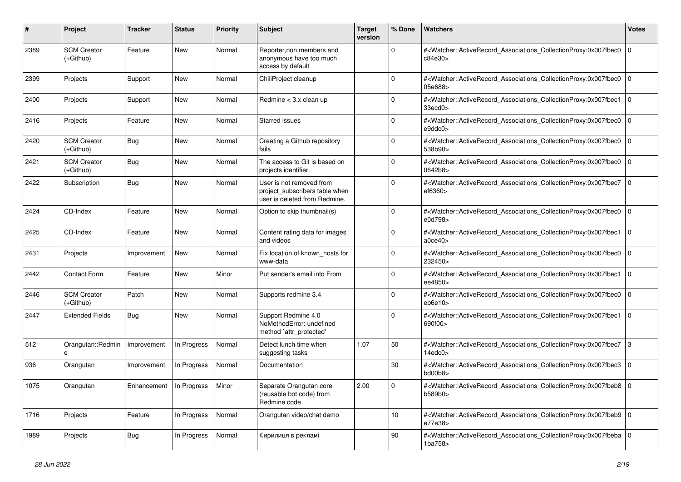| #    | Project                           | <b>Tracker</b>                    | <b>Status</b> | <b>Priority</b> | Subject                                                                                     | <b>Target</b><br>version | % Done          | Watchers                                                                                                                                                 | <b>Votes</b>   |
|------|-----------------------------------|-----------------------------------|---------------|-----------------|---------------------------------------------------------------------------------------------|--------------------------|-----------------|----------------------------------------------------------------------------------------------------------------------------------------------------------|----------------|
| 2389 | <b>SCM Creator</b><br>(+Github)   | Feature                           | New           | Normal          | Reporter, non members and<br>anonymous have too much<br>access by default                   |                          | $\mathbf 0$     | # <watcher::activerecord_associations_collectionproxy:0x007fbec0<br>c84e30&gt;</watcher::activerecord_associations_collectionproxy:0x007fbec0<br>        | l O            |
| 2399 | Projects                          | Support                           | <b>New</b>    | Normal          | ChiliProject cleanup                                                                        |                          | $\Omega$        | # <watcher::activerecord_associations_collectionproxy:0x007fbec0 0<br="">05e688&gt;</watcher::activerecord_associations_collectionproxy:0x007fbec0>      |                |
| 2400 | Projects                          | Support                           | New           | Normal          | Redmine $<$ 3.x clean up                                                                    |                          | $\Omega$        | # <watcher::activerecord_associations_collectionproxy:0x007fbec1<br>33ecd0</watcher::activerecord_associations_collectionproxy:0x007fbec1<br>            | l O            |
| 2416 | Projects                          | Feature                           | New           | Normal          | Starred issues                                                                              |                          | 0               | # <watcher::activerecord_associations_collectionproxy:0x007fbec0 0<br="">e9ddc0&gt;</watcher::activerecord_associations_collectionproxy:0x007fbec0>      |                |
| 2420 | <b>SCM Creator</b><br>(+Github)   | <b>Bug</b>                        | New           | Normal          | Creating a Github repository<br>fails                                                       |                          | $\mathbf 0$     | # <watcher::activerecord_associations_collectionproxy:0x007fbec0<br>538b90&gt;</watcher::activerecord_associations_collectionproxy:0x007fbec0<br>        | 0              |
| 2421 | <b>SCM Creator</b><br>(+Github)   | <b>Bug</b>                        | <b>New</b>    | Normal          | The access to Git is based on<br>projects identifier.                                       |                          | $\Omega$        | # <watcher::activerecord_associations_collectionproxy:0x007fbec0 0<br=""  ="">0642b8&gt;</watcher::activerecord_associations_collectionproxy:0x007fbec0> |                |
| 2422 | Subscription                      | <b>Bug</b>                        | New           | Normal          | User is not removed from<br>project_subscribers table when<br>user is deleted from Redmine. |                          | $\Omega$        | # <watcher::activerecord_associations_collectionproxy:0x007fbec7 0<br=""  ="">ef6360&gt;</watcher::activerecord_associations_collectionproxy:0x007fbec7> |                |
| 2424 | CD-Index                          | Feature                           | New           | Normal          | Option to skip thumbnail(s)                                                                 |                          | $\mathbf 0$     | # <watcher::activerecord_associations_collectionproxy:0x007fbec0<br>e0d798&gt;</watcher::activerecord_associations_collectionproxy:0x007fbec0<br>        | l O            |
| 2425 | CD-Index                          | Feature                           | <b>New</b>    | Normal          | Content rating data for images<br>and videos                                                |                          | $\Omega$        | # <watcher::activerecord_associations_collectionproxy:0x007fbec1<br>a0ce40&gt;</watcher::activerecord_associations_collectionproxy:0x007fbec1<br>        | l O            |
| 2431 | Projects                          | Improvement                       | <b>New</b>    | Normal          | Fix location of known_hosts for<br>www-data                                                 |                          | $\mathbf 0$     | # <watcher::activerecord_associations_collectionproxy:0x007fbec0<br>232450&gt;</watcher::activerecord_associations_collectionproxy:0x007fbec0<br>        | $\overline{0}$ |
| 2442 | <b>Contact Form</b>               | Feature                           | <b>New</b>    | Minor           | Put sender's email into From                                                                |                          | $\Omega$        | # <watcher::activerecord_associations_collectionproxy:0x007fbec1<br>ee4850&gt;</watcher::activerecord_associations_collectionproxy:0x007fbec1<br>        | l O            |
| 2446 | <b>SCM Creator</b><br>$(+Github)$ | Patch                             | New           | Normal          | Supports redmine 3.4                                                                        |                          | $\Omega$        | # <watcher::activerecord_associations_collectionproxy:0x007fbec0<br>eb6e10&gt;</watcher::activerecord_associations_collectionproxy:0x007fbec0<br>        | l 0            |
| 2447 | <b>Extended Fields</b>            | Bug                               | New           | Normal          | Support Redmine 4.0<br>NoMethodError: undefined<br>method `attr_protected'                  |                          | $\Omega$        | # <watcher::activerecord_associations_collectionproxy:0x007fbec1<br>690f00&gt;</watcher::activerecord_associations_collectionproxy:0x007fbec1<br>        | 0              |
| 512  | Orangutan::Redmin<br>е            | Improvement                       | In Progress   | Normal          | Detect lunch time when<br>suggesting tasks                                                  | 1.07                     | 50              | # <watcher::activerecord_associations_collectionproxy:0x007fbec7<br>14edc0&gt;</watcher::activerecord_associations_collectionproxy:0x007fbec7<br>        | 3              |
| 936  | Orangutan                         | Improvement                       | In Progress   | Normal          | Documentation                                                                               |                          | $30\,$          | # <watcher::activerecord_associations_collectionproxy:0x007fbec3<br>bd00b8&gt;</watcher::activerecord_associations_collectionproxy:0x007fbec3<br>        | l 0            |
| 1075 | Orangutan                         | Enhancement   In Progress   Minor |               |                 | Separate Orangutan core<br>(reusable bot code) from<br>Redmine code                         | 2.00                     | 0               | # <watcher::activerecord_associations_collectionproxy:0x007fbeb8 0<br="">b589b0&gt;</watcher::activerecord_associations_collectionproxy:0x007fbeb8>      |                |
| 1716 | Projects                          | Feature                           | In Progress   | Normal          | Orangutan video/chat demo                                                                   |                          | 10 <sup>°</sup> | # <watcher::activerecord_associations_collectionproxy:0x007fbeb9 0<br="">e77e38&gt;</watcher::activerecord_associations_collectionproxy:0x007fbeb9>      |                |
| 1989 | Projects                          | Bug                               | In Progress   | Normal          | Кирилиця в рекламі                                                                          |                          | 90              | # <watcher::activerecord 0<br="" associations="" collectionproxy:0x007fbeba="">1ba758&gt;</watcher::activerecord>                                        |                |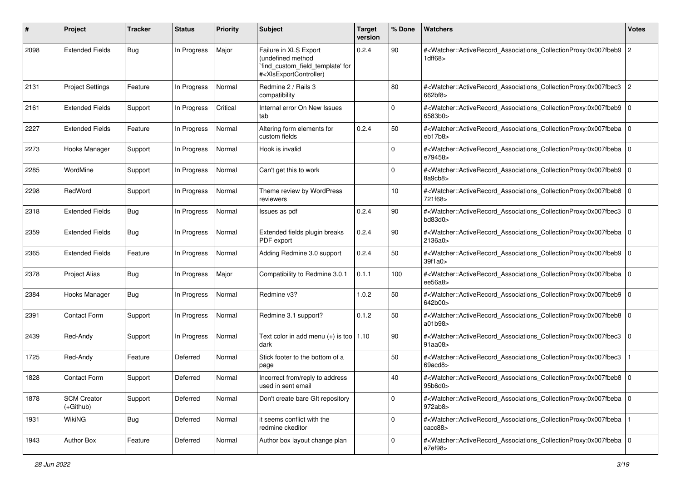| #    | Project                           | <b>Tracker</b> | <b>Status</b> | <b>Priority</b> | Subject                                                                                                                                                                                                                                                                                                                                                       | <b>Target</b><br>version | % Done      | <b>Watchers</b>                                                                                                                                          | <b>Votes</b>   |
|------|-----------------------------------|----------------|---------------|-----------------|---------------------------------------------------------------------------------------------------------------------------------------------------------------------------------------------------------------------------------------------------------------------------------------------------------------------------------------------------------------|--------------------------|-------------|----------------------------------------------------------------------------------------------------------------------------------------------------------|----------------|
| 2098 | <b>Extended Fields</b>            | Bug            | In Progress   | Major           | Failure in XLS Export<br>(undefined method<br>`find_custom_field_template' for<br># <xlsexportcontroller)< td=""><td>0.2.4</td><td>90</td><td>#<watcher::activerecord_associations_collectionproxy:0x007fbeb9<br>1dff68&gt;</watcher::activerecord_associations_collectionproxy:0x007fbeb9<br></td><td><math>\overline{c}</math></td></xlsexportcontroller)<> | 0.2.4                    | 90          | # <watcher::activerecord_associations_collectionproxy:0x007fbeb9<br>1dff68&gt;</watcher::activerecord_associations_collectionproxy:0x007fbeb9<br>        | $\overline{c}$ |
| 2131 | <b>Project Settings</b>           | Feature        | In Progress   | Normal          | Redmine 2 / Rails 3<br>compatibility                                                                                                                                                                                                                                                                                                                          |                          | 80          | # <watcher::activerecord_associations_collectionproxy:0x007fbec3<br>662bf8&gt;</watcher::activerecord_associations_collectionproxy:0x007fbec3<br>        | 2              |
| 2161 | <b>Extended Fields</b>            | Support        | In Progress   | Critical        | Internal error On New Issues<br>tab                                                                                                                                                                                                                                                                                                                           |                          | $\mathbf 0$ | # <watcher::activerecord_associations_collectionproxy:0x007fbeb9<br>6583b0&gt;</watcher::activerecord_associations_collectionproxy:0x007fbeb9<br>        | l O            |
| 2227 | <b>Extended Fields</b>            | Feature        | In Progress   | Normal          | Altering form elements for<br>custom fields                                                                                                                                                                                                                                                                                                                   | 0.2.4                    | 50          | # <watcher::activerecord_associations_collectionproxy:0x007fbeba 0<br="">eb17b8</watcher::activerecord_associations_collectionproxy:0x007fbeba>          |                |
| 2273 | Hooks Manager                     | Support        | In Progress   | Normal          | Hook is invalid                                                                                                                                                                                                                                                                                                                                               |                          | 0           | # <watcher::activerecord_associations_collectionproxy:0x007fbeba 0<br=""  ="">e79458&gt;</watcher::activerecord_associations_collectionproxy:0x007fbeba> |                |
| 2285 | WordMine                          | Support        | In Progress   | Normal          | Can't get this to work                                                                                                                                                                                                                                                                                                                                        |                          | 0           | # <watcher::activerecord_associations_collectionproxy:0x007fbeb9 0<br=""  ="">8a9cb8&gt;</watcher::activerecord_associations_collectionproxy:0x007fbeb9> |                |
| 2298 | RedWord                           | Support        | In Progress   | Normal          | Theme review by WordPress<br>reviewers                                                                                                                                                                                                                                                                                                                        |                          | 10          | # <watcher::activerecord 0<br="" associations="" collectionproxy:0x007fbeb8="">721f68&gt;</watcher::activerecord>                                        |                |
| 2318 | <b>Extended Fields</b>            | Bug            | In Progress   | Normal          | Issues as pdf                                                                                                                                                                                                                                                                                                                                                 | 0.2.4                    | 90          | # <watcher::activerecord_associations_collectionproxy:0x007fbec3<br>bd83d0&gt;</watcher::activerecord_associations_collectionproxy:0x007fbec3<br>        | $\mathbf 0$    |
| 2359 | <b>Extended Fields</b>            | Bug            | In Progress   | Normal          | Extended fields plugin breaks<br>PDF export                                                                                                                                                                                                                                                                                                                   | 0.2.4                    | 90          | # <watcher::activerecord associations="" collectionproxy:0x007fbeba<br="">2136a0&gt;</watcher::activerecord>                                             | $\mathbf 0$    |
| 2365 | <b>Extended Fields</b>            | Feature        | In Progress   | Normal          | Adding Redmine 3.0 support                                                                                                                                                                                                                                                                                                                                    | 0.2.4                    | 50          | # <watcher::activerecord_associations_collectionproxy:0x007fbeb9 0<br="">39f1a0&gt;</watcher::activerecord_associations_collectionproxy:0x007fbeb9>      |                |
| 2378 | <b>Project Alias</b>              | <b>Bug</b>     | In Progress   | Major           | Compatibility to Redmine 3.0.1                                                                                                                                                                                                                                                                                                                                | 0.1.1                    | 100         | # <watcher::activerecord_associations_collectionproxy:0x007fbeba<br>ee56a8&gt;</watcher::activerecord_associations_collectionproxy:0x007fbeba<br>        | l O            |
| 2384 | Hooks Manager                     | Bug            | In Progress   | Normal          | Redmine v3?                                                                                                                                                                                                                                                                                                                                                   | 1.0.2                    | 50          | # <watcher::activerecord_associations_collectionproxy:0x007fbeb9 0<br=""  ="">642b00&gt;</watcher::activerecord_associations_collectionproxy:0x007fbeb9> |                |
| 2391 | <b>Contact Form</b>               | Support        | In Progress   | Normal          | Redmine 3.1 support?                                                                                                                                                                                                                                                                                                                                          | 0.1.2                    | 50          | # <watcher::activerecord_associations_collectionproxy:0x007fbeb8 0<br="">a01b98&gt;</watcher::activerecord_associations_collectionproxy:0x007fbeb8>      |                |
| 2439 | Red-Andy                          | Support        | In Progress   | Normal          | Text color in add menu $(+)$ is too   1.10<br>dark                                                                                                                                                                                                                                                                                                            |                          | 90          | # <watcher::activerecord_associations_collectionproxy:0x007fbec3<br>91a<sub>08</sub></watcher::activerecord_associations_collectionproxy:0x007fbec3<br>  | l O            |
| 1725 | Red-Andy                          | Feature        | Deferred      | Normal          | Stick footer to the bottom of a<br>page                                                                                                                                                                                                                                                                                                                       |                          | 50          | # <watcher::activerecord_associations_collectionproxy:0x007fbec3<br>69acd8&gt;</watcher::activerecord_associations_collectionproxy:0x007fbec3<br>        |                |
| 1828 | <b>Contact Form</b>               | Support        | Deferred      | Normal          | Incorrect from/reply to address<br>used in sent email                                                                                                                                                                                                                                                                                                         |                          | 40          | # <watcher::activerecord_associations_collectionproxy:0x007fbeb8 0<br=""  ="">95b6d0&gt;</watcher::activerecord_associations_collectionproxy:0x007fbeb8> |                |
| 1878 | <b>SCM Creator</b><br>$(+Github)$ | Support        | Deferred      | Normal          | Don't create bare GIt repository                                                                                                                                                                                                                                                                                                                              |                          | $\mathbf 0$ | # <watcher::activerecord_associations_collectionproxy:0x007fbeba 0<br=""  ="">972ab8&gt;</watcher::activerecord_associations_collectionproxy:0x007fbeba> |                |
| 1931 | <b>WikiNG</b>                     | <b>Bug</b>     | Deferred      | Normal          | it seems conflict with the<br>redmine ckeditor                                                                                                                                                                                                                                                                                                                |                          | $\mathbf 0$ | # <watcher::activerecord_associations_collectionproxy:0x007fbeba<br>cacc88</watcher::activerecord_associations_collectionproxy:0x007fbeba<br>            |                |
| 1943 | Author Box                        | Feature        | Deferred      | Normal          | Author box layout change plan                                                                                                                                                                                                                                                                                                                                 |                          | $\mathbf 0$ | # <watcher::activerecord_associations_collectionproxy:0x007fbeba 0<br="">e7ef98&gt;</watcher::activerecord_associations_collectionproxy:0x007fbeba>      |                |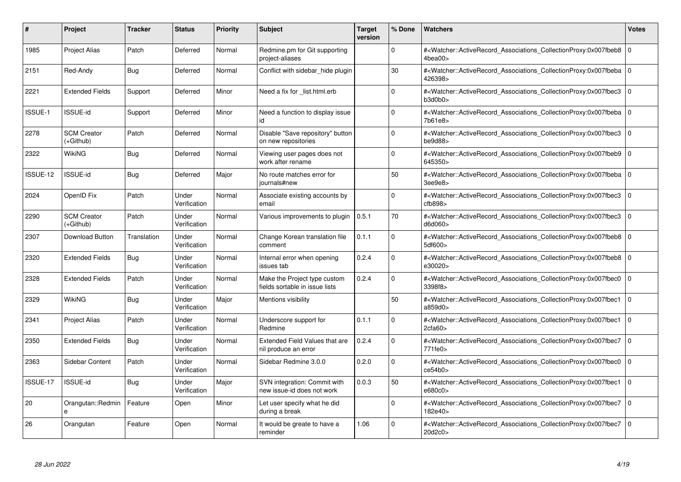| #        | Project                         | Tracker     | <b>Status</b>         | <b>Priority</b> | <b>Subject</b>                                                 | <b>Target</b><br>version | % Done      | <b>Watchers</b>                                                                                                                                     | <b>Votes</b>   |
|----------|---------------------------------|-------------|-----------------------|-----------------|----------------------------------------------------------------|--------------------------|-------------|-----------------------------------------------------------------------------------------------------------------------------------------------------|----------------|
| 1985     | <b>Project Alias</b>            | Patch       | Deferred              | Normal          | Redmine.pm for Git supporting<br>project-aliases               |                          | $\Omega$    | # <watcher::activerecord associations="" collectionproxy:0x007fbeb8<br="">4bea00&gt;</watcher::activerecord>                                        | $\Omega$       |
| 2151     | Red-Andy                        | Bug         | Deferred              | Normal          | Conflict with sidebar hide plugin                              |                          | 30          | # <watcher::activerecord 0<br="" associations="" collectionproxy:0x007fbeba=""  ="">426398&gt;</watcher::activerecord>                              |                |
| 2221     | <b>Extended Fields</b>          | Support     | Deferred              | Minor           | Need a fix for _list.html.erb                                  |                          | $\Omega$    | # <watcher::activerecord_associations_collectionproxy:0x007fbec3<br>b3d0b0&gt;</watcher::activerecord_associations_collectionproxy:0x007fbec3<br>   | $\Omega$       |
| ISSUE-1  | <b>ISSUE-id</b>                 | Support     | Deferred              | Minor           | Need a function to display issue<br>id                         |                          | $\Omega$    | # <watcher::activerecord_associations_collectionproxy:0x007fbeba 0<br="">7b61e8&gt;</watcher::activerecord_associations_collectionproxy:0x007fbeba> |                |
| 2278     | <b>SCM Creator</b><br>(+Github) | Patch       | Deferred              | Normal          | Disable "Save repository" button<br>on new repositories        |                          | $\Omega$    | # <watcher::activerecord_associations_collectionproxy:0x007fbec3<br>be9d88</watcher::activerecord_associations_collectionproxy:0x007fbec3<br>       | $\mathbf 0$    |
| 2322     | <b>WikiNG</b>                   | Bug         | Deferred              | Normal          | Viewing user pages does not<br>work after rename               |                          | $\Omega$    | # <watcher::activerecord_associations_collectionproxy:0x007fbeb9 0<br="">645350&gt;</watcher::activerecord_associations_collectionproxy:0x007fbeb9> |                |
| ISSUE-12 | <b>ISSUE-id</b>                 | Bug         | Deferred              | Major           | No route matches error for<br>iournals#new                     |                          | 50          | # <watcher::activerecord associations="" collectionproxy:0x007fbeba<br="">3ee9e8&gt;</watcher::activerecord>                                        | l 0            |
| 2024     | OpenID Fix                      | Patch       | Under<br>Verification | Normal          | Associate existing accounts by<br>email                        |                          | $\mathbf 0$ | # <watcher::activerecord associations="" collectionproxy:0x007fbec3<br="">ctb898</watcher::activerecord>                                            | l 0            |
| 2290     | <b>SCM Creator</b><br>(+Github) | Patch       | Under<br>Verification | Normal          | Various improvements to plugin                                 | 0.5.1                    | 70          | # <watcher::activerecord_associations_collectionproxy:0x007fbec3<br>d6d060&gt;</watcher::activerecord_associations_collectionproxy:0x007fbec3<br>   | $\overline{0}$ |
| 2307     | Download Button                 | Translation | Under<br>Verification | Normal          | Change Korean translation file<br>comment                      | 0.1.1                    | $\Omega$    | # <watcher::activerecord 0<br="" associations="" collectionproxy:0x007fbeb8="">5df600&gt;</watcher::activerecord>                                   |                |
| 2320     | <b>Extended Fields</b>          | Bug         | Under<br>Verification | Normal          | Internal error when opening<br>issues tab                      | 0.2.4                    | $\Omega$    | # <watcher::activerecord_associations_collectionproxy:0x007fbeb8 0<br="">e30020&gt;</watcher::activerecord_associations_collectionproxy:0x007fbeb8> |                |
| 2328     | <b>Extended Fields</b>          | Patch       | Under<br>Verification | Normal          | Make the Project type custom<br>fields sortable in issue lists | 0.2.4                    | $\Omega$    | # <watcher::activerecord_associations_collectionproxy:0x007fbec0 0<br="">3398f8&gt;</watcher::activerecord_associations_collectionproxy:0x007fbec0> |                |
| 2329     | WikiNG                          | Bug         | Under<br>Verification | Major           | Mentions visibility                                            |                          | 50          | # <watcher::activerecord associations="" collectionproxy:0x007fbec1<br="">a859d0&gt;</watcher::activerecord>                                        | l 0            |
| 2341     | Project Alias                   | Patch       | Under<br>Verification | Normal          | Underscore support for<br>Redmine                              | 0.1.1                    | $\Omega$    | # <watcher::activerecord_associations_collectionproxy:0x007fbec1<br>2cfa60</watcher::activerecord_associations_collectionproxy:0x007fbec1<br>       | l O            |
| 2350     | <b>Extended Fields</b>          | Bug         | Under<br>Verification | Normal          | Extended Field Values that are<br>nil produce an error         | 0.2.4                    | $\mathbf 0$ | # <watcher::activerecord associations="" collectionproxy:0x007fbec7<br="">771fe0</watcher::activerecord>                                            | l 0            |
| 2363     | <b>Sidebar Content</b>          | Patch       | Under<br>Verification | Normal          | Sidebar Redmine 3.0.0                                          | 0.2.0                    | $\mathbf 0$ | # <watcher::activerecord_associations_collectionproxy:0x007fbec0<br>ce54b0&gt;</watcher::activerecord_associations_collectionproxy:0x007fbec0<br>   | $\overline{0}$ |
| ISSUE-17 | <b>ISSUE-id</b>                 | Bug         | Under<br>Verification | Major           | SVN integration: Commit with<br>new issue-id does not work     | 0.0.3                    | 50          | # <watcher::activerecord_associations_collectionproxy:0x007fbec1<br>e680c0&gt;</watcher::activerecord_associations_collectionproxy:0x007fbec1<br>   | $\overline{0}$ |
| 20       | Orangutan::Redmin<br>e          | Feature     | Open                  | Minor           | Let user specify what he did<br>during a break                 |                          | $\mathbf 0$ | # <watcher::activerecord associations="" collectionproxy:0x007fbec7<br="">182e40&gt;</watcher::activerecord>                                        | $\overline{0}$ |
| 26       | Orangutan                       | Feature     | Open                  | Normal          | It would be greate to have a<br>reminder                       | 1.06                     | $\Omega$    | # <watcher::activerecord associations="" collectionproxy:0x007fbec7<br="">20d2c0&gt;</watcher::activerecord>                                        | l o            |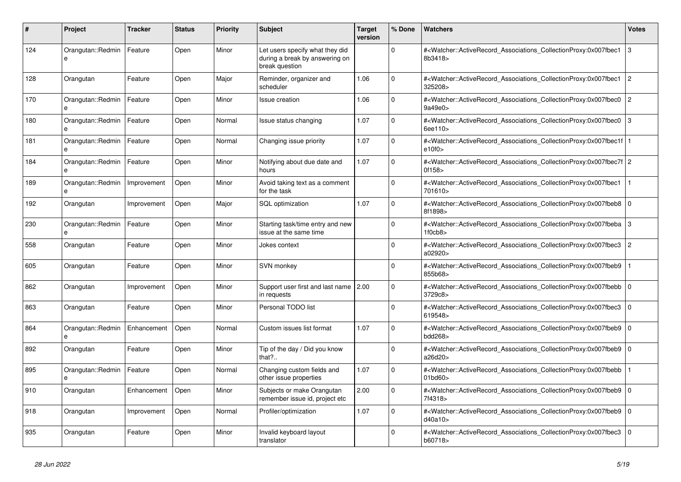| #   | Project                       | <b>Tracker</b> | <b>Status</b> | <b>Priority</b> | <b>Subject</b>                                                                      | <b>Target</b><br>version | % Done      | Watchers                                                                                                                                             | Votes          |
|-----|-------------------------------|----------------|---------------|-----------------|-------------------------------------------------------------------------------------|--------------------------|-------------|------------------------------------------------------------------------------------------------------------------------------------------------------|----------------|
| 124 | Orangutan::Redmin<br>e        | Feature        | Open          | Minor           | Let users specify what they did<br>during a break by answering on<br>break question |                          | $\Omega$    | # <watcher::activerecord_associations_collectionproxy:0x007fbec1<br>8b3418&gt;</watcher::activerecord_associations_collectionproxy:0x007fbec1<br>    | 3              |
| 128 | Orangutan                     | Feature        | Open          | Major           | Reminder, organizer and<br>scheduler                                                | 1.06                     | $\Omega$    | # <watcher::activerecord_associations_collectionproxy:0x007fbec1<br>325208&gt;</watcher::activerecord_associations_collectionproxy:0x007fbec1<br>    | $\overline{2}$ |
| 170 | Orangutan::Redmin<br>e        | Feature        | Open          | Minor           | Issue creation                                                                      | 1.06                     | $\Omega$    | # <watcher::activerecord_associations_collectionproxy:0x007fbec0<br>9a49e0&gt;</watcher::activerecord_associations_collectionproxy:0x007fbec0<br>    | $\overline{2}$ |
| 180 | Orangutan::Redmin             | Feature        | Open          | Normal          | Issue status changing                                                               | 1.07                     | $\Omega$    | # <watcher::activerecord_associations_collectionproxy:0x007fbec0<br>6ee110&gt;</watcher::activerecord_associations_collectionproxy:0x007fbec0<br>    | 3              |
| 181 | Orangutan::Redmin<br>$\theta$ | Feature        | Open          | Normal          | Changing issue priority                                                             | 1.07                     | $\Omega$    | # <watcher::activerecord 1<br="" associations="" collectionproxy:0x007fbec1f=""  ="">e10f0</watcher::activerecord>                                   |                |
| 184 | Orangutan::Redmin<br>e        | Feature        | Open          | Minor           | Notifying about due date and<br>hours                                               | 1.07                     | $\Omega$    | # <watcher::activerecord_associations_collectionproxy:0x007fbec7f 2<br="">0f158&gt;</watcher::activerecord_associations_collectionproxy:0x007fbec7f> |                |
| 189 | Orangutan::Redmin<br>e        | Improvement    | Open          | Minor           | Avoid taking text as a comment<br>for the task                                      |                          | $\Omega$    | # <watcher::activerecord_associations_collectionproxy:0x007fbec1<br>701610&gt;</watcher::activerecord_associations_collectionproxy:0x007fbec1<br>    |                |
| 192 | Orangutan                     | Improvement    | Open          | Major           | <b>SQL</b> optimization                                                             | 1.07                     | $\Omega$    | # <watcher::activerecord associations="" collectionproxy:0x007fbeb8<br="">8f1898&gt;</watcher::activerecord>                                         | l o            |
| 230 | Orangutan::Redmin<br>$\theta$ | Feature        | Open          | Minor           | Starting task/time entry and new<br>issue at the same time                          |                          | $\Omega$    | # <watcher::activerecord associations="" collectionproxy:0x007fbeba<br="">1f0cb8&gt;</watcher::activerecord>                                         | 3              |
| 558 | Orangutan                     | Feature        | Open          | Minor           | Jokes context                                                                       |                          | $\Omega$    | # <watcher::activerecord_associations_collectionproxy:0x007fbec3<br>a02920&gt;</watcher::activerecord_associations_collectionproxy:0x007fbec3<br>    | $\overline{2}$ |
| 605 | Orangutan                     | Feature        | Open          | Minor           | <b>SVN monkey</b>                                                                   |                          | $\Omega$    | # <watcher::activerecord associations="" collectionproxy:0x007fbeb9<br="">855b68&gt;</watcher::activerecord>                                         |                |
| 862 | Orangutan                     | Improvement    | Open          | Minor           | Support user first and last name 2.00<br>in requests                                |                          | $\mathbf 0$ | # <watcher::activerecord_associations_collectionproxy:0x007fbebb<br>3729c8&gt;</watcher::activerecord_associations_collectionproxy:0x007fbebb<br>    | l o            |
| 863 | Orangutan                     | Feature        | Open          | Minor           | Personal TODO list                                                                  |                          | $\Omega$    | # <watcher::activerecord_associations_collectionproxy:0x007fbec3<br>619548&gt;</watcher::activerecord_associations_collectionproxy:0x007fbec3<br>    | $\Omega$       |
| 864 | Orangutan::Redmin<br>e        | Enhancement    | Open          | Normal          | Custom issues list format                                                           | 1.07                     | $\Omega$    | # <watcher::activerecord 0<br="" associations="" collectionproxy:0x007fbeb9=""  ="">bdd268&gt;</watcher::activerecord>                               |                |
| 892 | Orangutan                     | Feature        | Open          | Minor           | Tip of the day / Did you know<br>that?                                              |                          | $\mathbf 0$ | # <watcher::activerecord associations="" collectionproxy:0x007fbeb9<br="">a26d20&gt;</watcher::activerecord>                                         | l o            |
| 895 | Orangutan::Redmin<br>e        | Feature        | Open          | Normal          | Changing custom fields and<br>other issue properties                                | 1.07                     | $\Omega$    | # <watcher::activerecord_associations_collectionproxy:0x007fbebb<br>01bd60&gt;</watcher::activerecord_associations_collectionproxy:0x007fbebb<br>    |                |
| 910 | Orangutan                     | Enhancement    | Open          | Minor           | Subjects or make Orangutan<br>remember issue id, project etc                        | 2.00                     | $\Omega$    | # <watcher::activerecord associations="" collectionproxy:0x007fbeb9<br="">7f4318&gt;</watcher::activerecord>                                         | l O            |
| 918 | Orangutan                     | Improvement    | Open          | Normal          | Profiler/optimization                                                               | 1.07                     | $\mathbf 0$ | # <watcher::activerecord_associations_collectionproxy:0x007fbeb9<br>d40a10&gt;</watcher::activerecord_associations_collectionproxy:0x007fbeb9<br>    | l o            |
| 935 | Orangutan                     | Feature        | Open          | Minor           | Invalid keyboard layout<br>translator                                               |                          | $\Omega$    | # <watcher::activerecord_associations_collectionproxy:0x007fbec3<br>b60718&gt;</watcher::activerecord_associations_collectionproxy:0x007fbec3<br>    | $\Omega$       |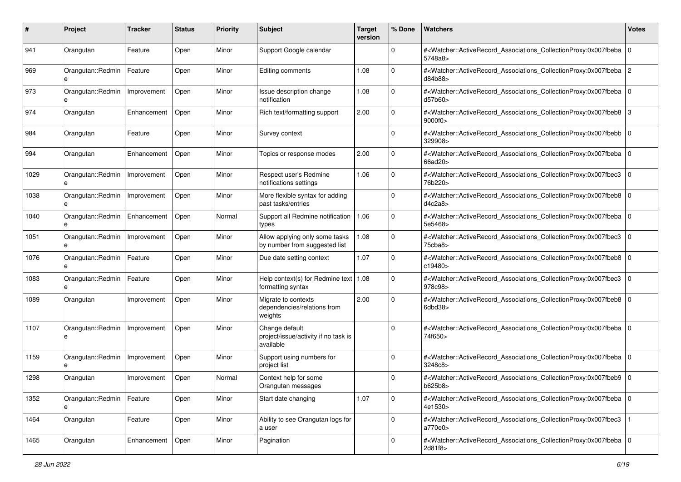| #    | Project                          | <b>Tracker</b> | <b>Status</b> | <b>Priority</b> | <b>Subject</b>                                                      | <b>Target</b><br>version | % Done       | Watchers                                                                                                                                                 | <b>Votes</b>   |
|------|----------------------------------|----------------|---------------|-----------------|---------------------------------------------------------------------|--------------------------|--------------|----------------------------------------------------------------------------------------------------------------------------------------------------------|----------------|
| 941  | Orangutan                        | Feature        | Open          | Minor           | Support Google calendar                                             |                          | 0            | # <watcher::activerecord_associations_collectionproxy:0x007fbeba<br>5748a8&gt;</watcher::activerecord_associations_collectionproxy:0x007fbeba<br>        | $\mathbf 0$    |
| 969  | Orangutan::Redmin<br>e           | Feature        | Open          | Minor           | Editing comments                                                    | 1.08                     | 0            | # <watcher::activerecord_associations_collectionproxy:0x007fbeba<br>d84b88&gt;</watcher::activerecord_associations_collectionproxy:0x007fbeba<br>        | $\overline{2}$ |
| 973  | Orangutan::Redmin<br>e           | Improvement    | Open          | Minor           | Issue description change<br>notification                            | 1.08                     | 0            | # <watcher::activerecord_associations_collectionproxy:0x007fbeba 0<br=""  ="">d57b60&gt;</watcher::activerecord_associations_collectionproxy:0x007fbeba> |                |
| 974  | Orangutan                        | Enhancement    | Open          | Minor           | Rich text/formatting support                                        | 2.00                     | 0            | # <watcher::activerecord_associations_collectionproxy:0x007fbeb8<br>9000f0&gt;</watcher::activerecord_associations_collectionproxy:0x007fbeb8<br>        | 3              |
| 984  | Orangutan                        | Feature        | Open          | Minor           | Survey context                                                      |                          | 0            | # <watcher::activerecord_associations_collectionproxy:0x007fbebb<br>329908&gt;</watcher::activerecord_associations_collectionproxy:0x007fbebb<br>        | l O            |
| 994  | Orangutan                        | Enhancement    | Open          | Minor           | Topics or response modes                                            | 2.00                     | $\Omega$     | # <watcher::activerecord_associations_collectionproxy:0x007fbeba<br>66ad20&gt;</watcher::activerecord_associations_collectionproxy:0x007fbeba<br>        | $\mathbf 0$    |
| 1029 | Orangutan::Redmin                | Improvement    | Open          | Minor           | Respect user's Redmine<br>notifications settings                    | 1.06                     | 0            | # <watcher::activerecord_associations_collectionproxy:0x007fbec3<br>76b220&gt;</watcher::activerecord_associations_collectionproxy:0x007fbec3<br>        | $\mathbf 0$    |
| 1038 | Orangutan::Redmin<br>e           | Improvement    | Open          | Minor           | More flexible syntax for adding<br>past tasks/entries               |                          | 0            | # <watcher::activerecord_associations_collectionproxy:0x007fbeb8<br>d4c2a8</watcher::activerecord_associations_collectionproxy:0x007fbeb8<br>            | $\mathbf 0$    |
| 1040 | Orangutan::Redmin<br>e           | Enhancement    | Open          | Normal          | Support all Redmine notification<br>types                           | 1.06                     | $\mathbf 0$  | # <watcher::activerecord_associations_collectionproxy:0x007fbeba<br>5e5468&gt;</watcher::activerecord_associations_collectionproxy:0x007fbeba<br>        | l O            |
| 1051 | Orangutan::Redmin<br>e           | Improvement    | Open          | Minor           | Allow applying only some tasks<br>by number from suggested list     | 1.08                     | 0            | # <watcher::activerecord_associations_collectionproxy:0x007fbec3<br>75cba8&gt;</watcher::activerecord_associations_collectionproxy:0x007fbec3<br>        | $\mathbf 0$    |
| 1076 | Orangutan::Redmin<br>e           | Feature        | Open          | Minor           | Due date setting context                                            | 1.07                     | 0            | # <watcher::activerecord_associations_collectionproxy:0x007fbeb8<br>c19480&gt;</watcher::activerecord_associations_collectionproxy:0x007fbeb8<br>        | l O            |
| 1083 | Orangutan::Redmin<br>e           | Feature        | Open          | Minor           | Help context(s) for Redmine text   $1.08$<br>formatting syntax      |                          | $\mathbf 0$  | # <watcher::activerecord_associations_collectionproxy:0x007fbec3<br>978c98&gt;</watcher::activerecord_associations_collectionproxy:0x007fbec3<br>        | $\mathbf 0$    |
| 1089 | Orangutan                        | Improvement    | Open          | Minor           | Migrate to contexts<br>dependencies/relations from<br>weights       | 2.00                     | $\Omega$     | # <watcher::activerecord_associations_collectionproxy:0x007fbeb8  <br="">6dbd38&gt;</watcher::activerecord_associations_collectionproxy:0x007fbeb8>      | l O            |
| 1107 | Orangutan::Redmin<br>e           | Improvement    | Open          | Minor           | Change default<br>project/issue/activity if no task is<br>available |                          | $\Omega$     | # <watcher::activerecord_associations_collectionproxy:0x007fbeba 0<br=""  ="">74f650&gt;</watcher::activerecord_associations_collectionproxy:0x007fbeba> |                |
| 1159 | Orangutan::Redmin<br>e           | Improvement    | Open          | Minor           | Support using numbers for<br>project list                           |                          | $\Omega$     | # <watcher::activerecord_associations_collectionproxy:0x007fbeba  <br="">3248c8&gt;</watcher::activerecord_associations_collectionproxy:0x007fbeba>      | l O            |
| 1298 | Orangutan                        | Improvement    | Open          | Normal          | Context help for some<br>Orangutan messages                         |                          | 0            | # <watcher::activerecord_associations_collectionproxy:0x007fbeb9 0<br="">b625b8&gt;</watcher::activerecord_associations_collectionproxy:0x007fbeb9>      |                |
| 1352 | Orangutan::Redmin   Feature<br>e |                | Open          | Minor           | Start date changing                                                 | 1.07                     | $\mathbf 0$  | # <watcher::activerecord 0<br="" associations="" collectionproxy:0x007fbeba="">4e1530&gt;</watcher::activerecord>                                        |                |
| 1464 | Orangutan                        | Feature        | Open          | Minor           | Ability to see Orangutan logs for<br>a user                         |                          | $\mathbf{0}$ | # <watcher::activerecord_associations_collectionproxy:0x007fbec3<br>a770e0&gt;</watcher::activerecord_associations_collectionproxy:0x007fbec3<br>        |                |
| 1465 | Orangutan                        | Enhancement    | Open          | Minor           | Pagination                                                          |                          | 0            | # <watcher::activerecord_associations_collectionproxy:0x007fbeba 0<br=""  ="">2d81f8&gt;</watcher::activerecord_associations_collectionproxy:0x007fbeba> |                |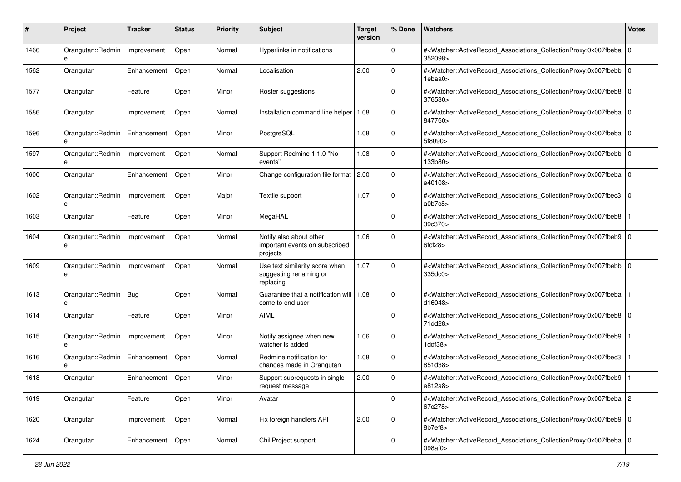| #    | Project                      | Tracker     | <b>Status</b> | <b>Priority</b> | <b>Subject</b>                                                        | <b>Target</b><br>version | % Done      | Watchers                                                                                                                                                                | <b>Votes</b> |
|------|------------------------------|-------------|---------------|-----------------|-----------------------------------------------------------------------|--------------------------|-------------|-------------------------------------------------------------------------------------------------------------------------------------------------------------------------|--------------|
| 1466 | Orangutan::Redmin<br>e       | Improvement | Open          | Normal          | Hyperlinks in notifications                                           |                          | 0           | # <watcher::activerecord_associations_collectionproxy:0x007fbeba<br>352098&gt;</watcher::activerecord_associations_collectionproxy:0x007fbeba<br>                       | $\mathbf 0$  |
| 1562 | Orangutan                    | Enhancement | Open          | Normal          | Localisation                                                          | 2.00                     | $\mathbf 0$ | # <watcher::activerecord_associations_collectionproxy:0x007fbebb<br>1ebaa0&gt;</watcher::activerecord_associations_collectionproxy:0x007fbebb<br>                       | $\mathbf 0$  |
| 1577 | Orangutan                    | Feature     | Open          | Minor           | Roster suggestions                                                    |                          | 0           | # <watcher::activerecord_associations_collectionproxy:0x007fbeb8 0<br="">376530&gt;</watcher::activerecord_associations_collectionproxy:0x007fbeb8>                     |              |
| 1586 | Orangutan                    | Improvement | Open          | Normal          | Installation command line helper                                      | 1.08                     | 0           | # <watcher::activerecord_associations_collectionproxy:0x007fbeba<br>847760&gt;</watcher::activerecord_associations_collectionproxy:0x007fbeba<br>                       | $\Omega$     |
| 1596 | Orangutan::Redmin<br>e       | Enhancement | Open          | Minor           | PostgreSQL                                                            | 1.08                     | 0           | # <watcher::activerecord 0<br="" associations="" collectionproxy:0x007fbeba="">5f8090&gt;</watcher::activerecord>                                                       |              |
| 1597 | Orangutan::Redmin            | Improvement | Open          | Normal          | Support Redmine 1.1.0 "No<br>events"                                  | 1.08                     | $\Omega$    | # <watcher::activerecord_associations_collectionproxy:0x007fbebb<br>133b80&gt;</watcher::activerecord_associations_collectionproxy:0x007fbebb<br>                       | $\mathbf 0$  |
| 1600 | Orangutan                    | Enhancement | Open          | Minor           | Change configuration file format 2.00                                 |                          | 0           | # <watcher::activerecord_associations_collectionproxy:0x007fbeba 0<br="">e40108&gt;</watcher::activerecord_associations_collectionproxy:0x007fbeba>                     |              |
| 1602 | Orangutan::Redmin<br>e       | Improvement | Open          | Major           | Textile support                                                       | 1.07                     | $\mathbf 0$ | # <watcher::activerecord_associations_collectionproxy:0x007fbec3<br>a0b7c8</watcher::activerecord_associations_collectionproxy:0x007fbec3<br>                           | $\mathbf 0$  |
| 1603 | Orangutan                    | Feature     | Open          | Minor           | MegaHAL                                                               |                          | $\mathbf 0$ | # <watcher::activerecord_associations_collectionproxy:0x007fbeb8<br>39c370&gt;</watcher::activerecord_associations_collectionproxy:0x007fbeb8<br>                       |              |
| 1604 | Orangutan::Redmin<br>e       | Improvement | Open          | Normal          | Notify also about other<br>important events on subscribed<br>projects | 1.06                     | 0           | # <watcher::activerecord_associations_collectionproxy:0x007fbeb9 0<br="">6fcf28&gt;</watcher::activerecord_associations_collectionproxy:0x007fbeb9>                     |              |
| 1609 | Orangutan::Redmin<br>е       | Improvement | Open          | Normal          | Use text similarity score when<br>suggesting renaming or<br>replacing | 1.07                     | 0           | # <watcher::activerecord_associations_collectionproxy:0x007fbebb<br>335dc0&gt;</watcher::activerecord_associations_collectionproxy:0x007fbebb<br>                       | $\mathbf 0$  |
| 1613 | Orangutan::Redmin   Bug<br>e |             | Open          | Normal          | Guarantee that a notification will   1.08<br>come to end user         |                          | $\Omega$    | # <watcher::activerecord_associations_collectionproxy:0x007fbeba<br>d16048&gt;</watcher::activerecord_associations_collectionproxy:0x007fbeba<br>                       |              |
| 1614 | Orangutan                    | Feature     | Open          | Minor           | AIML                                                                  |                          | $\Omega$    | # <watcher::activerecord_associations_collectionproxy:0x007fbeb8<br>71dd28&gt;</watcher::activerecord_associations_collectionproxy:0x007fbeb8<br>                       | $\mathbf 0$  |
| 1615 | Orangutan::Redmin<br>e       | Improvement | Open          | Minor           | Notify assignee when new<br>watcher is added                          | 1.06                     | $\mathbf 0$ | # <watcher::activerecord_associations_collectionproxy:0x007fbeb9<br><math>1</math>ddf<math>38</math></watcher::activerecord_associations_collectionproxy:0x007fbeb9<br> |              |
| 1616 | Orangutan::Redmin<br>e       | Enhancement | Open          | Normal          | Redmine notification for<br>changes made in Orangutan                 | 1.08                     | $\mathbf 0$ | # <watcher::activerecord_associations_collectionproxy:0x007fbec3<br>851d38&gt;</watcher::activerecord_associations_collectionproxy:0x007fbec3<br>                       |              |
| 1618 | Orangutan                    | Enhancement | Open          | Minor           | Support subrequests in single<br>request message                      | 2.00                     | 0           | # <watcher::activerecord_associations_collectionproxy:0x007fbeb9<br>e812a8&gt;</watcher::activerecord_associations_collectionproxy:0x007fbeb9<br>                       |              |
| 1619 | Orangutan                    | Feature     | Open          | Minor           | Avatar                                                                |                          | $\mathbf 0$ | # <watcher::activerecord_associations_collectionproxy:0x007fbeba 2<br="">67c278&gt;</watcher::activerecord_associations_collectionproxy:0x007fbeba>                     |              |
| 1620 | Orangutan                    | Improvement | Open          | Normal          | Fix foreign handlers API                                              | 2.00                     | $\mathbf 0$ | # <watcher::activerecord_associations_collectionproxy:0x007fbeb9 0<br="">8b7ef8&gt;</watcher::activerecord_associations_collectionproxy:0x007fbeb9>                     |              |
| 1624 | Orangutan                    | Enhancement | Open          | Normal          | ChiliProject support                                                  |                          | $\mathbf 0$ | # <watcher::activerecord_associations_collectionproxy:0x007fbeba 0<br=""  ="">098af0&gt;</watcher::activerecord_associations_collectionproxy:0x007fbeba>                |              |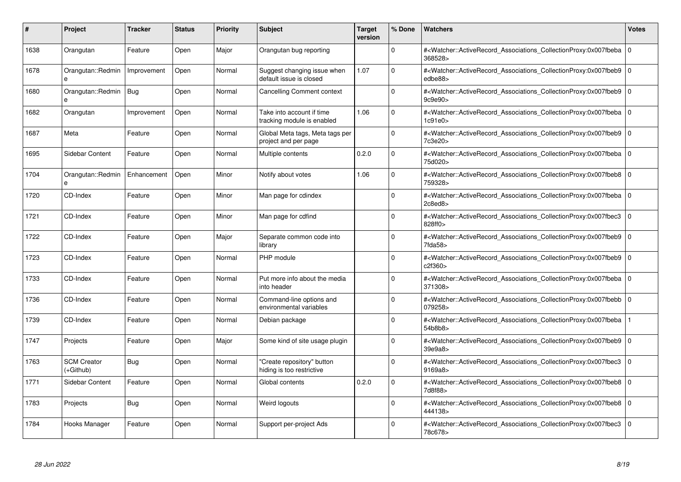| #    | Project                         | <b>Tracker</b> | <b>Status</b> | <b>Priority</b> | <b>Subject</b>                                          | Target<br>version | % Done      | <b>Watchers</b>                                                                                                                                          | <b>Votes</b> |
|------|---------------------------------|----------------|---------------|-----------------|---------------------------------------------------------|-------------------|-------------|----------------------------------------------------------------------------------------------------------------------------------------------------------|--------------|
| 1638 | Orangutan                       | Feature        | Open          | Major           | Orangutan bug reporting                                 |                   | $\Omega$    | # <watcher::activerecord associations="" collectionproxy:0x007fbeba<br="">368528&gt;</watcher::activerecord>                                             | $\mathbf 0$  |
| 1678 | Orangutan::Redmin<br>e          | Improvement    | Open          | Normal          | Suggest changing issue when<br>default issue is closed  | 1.07              | $\Omega$    | # <watcher::activerecord associations="" collectionproxy:0x007fbeb9=""  <br="">edbe88&gt;</watcher::activerecord>                                        | $\mathbf 0$  |
| 1680 | Orangutan::Redmin   Bug<br>e    |                | Open          | Normal          | Cancelling Comment context                              |                   | $\Omega$    | # <watcher::activerecord_associations_collectionproxy:0x007fbeb9 0<br=""  ="">9c9e90</watcher::activerecord_associations_collectionproxy:0x007fbeb9>     |              |
| 1682 | Orangutan                       | Improvement    | Open          | Normal          | Take into account if time<br>tracking module is enabled | 1.06              | $\Omega$    | # <watcher::activerecord_associations_collectionproxy:0x007fbeba 0<br=""  ="">1c91e0</watcher::activerecord_associations_collectionproxy:0x007fbeba>     |              |
| 1687 | Meta                            | Feature        | Open          | Normal          | Global Meta tags, Meta tags per<br>project and per page |                   | $\Omega$    | # <watcher::activerecord 0<br="" associations="" collectionproxy:0x007fbeb9=""  ="">7c3e20&gt;</watcher::activerecord>                                   |              |
| 1695 | Sidebar Content                 | Feature        | Open          | Normal          | Multiple contents                                       | 0.2.0             | $\Omega$    | # <watcher::activerecord_associations_collectionproxy:0x007fbeba 0<br=""  ="">75d020&gt;</watcher::activerecord_associations_collectionproxy:0x007fbeba> |              |
| 1704 | Orangutan::Redmin               | Enhancement    | Open          | Minor           | Notify about votes                                      | 1.06              | $\Omega$    | # <watcher::activerecord_associations_collectionproxy:0x007fbeb8 0<br="">759328&gt;</watcher::activerecord_associations_collectionproxy:0x007fbeb8>      |              |
| 1720 | CD-Index                        | Feature        | Open          | Minor           | Man page for cdindex                                    |                   | $\Omega$    | # <watcher::activerecord 0<br="" associations="" collectionproxy:0x007fbeba=""  ="">2c8ed8</watcher::activerecord>                                       |              |
| 1721 | CD-Index                        | Feature        | Open          | Minor           | Man page for cdfind                                     |                   | $\Omega$    | # <watcher::activerecord associations="" collectionproxy:0x007fbec3<br="">828ff0&gt;</watcher::activerecord>                                             | $\mathbf 0$  |
| 1722 | CD-Index                        | Feature        | Open          | Major           | Separate common code into<br>library                    |                   | $\Omega$    | # <watcher::activerecord_associations_collectionproxy:0x007fbeb9<br>7fda58</watcher::activerecord_associations_collectionproxy:0x007fbeb9<br>            | $\mathbf 0$  |
| 1723 | CD-Index                        | Feature        | Open          | Normal          | PHP module                                              |                   | $\Omega$    | # <watcher::activerecord 0<br="" associations="" collectionproxy:0x007fbeb9=""  ="">c2f360&gt;</watcher::activerecord>                                   |              |
| 1733 | CD-Index                        | Feature        | Open          | Normal          | Put more info about the media<br>into header            |                   | $\Omega$    | # <watcher::activerecord_associations_collectionproxy:0x007fbeba  <br="">371308&gt;</watcher::activerecord_associations_collectionproxy:0x007fbeba>      | $\mathbf 0$  |
| 1736 | CD-Index                        | Feature        | Open          | Normal          | Command-line options and<br>environmental variables     |                   | $\Omega$    | # <watcher::activerecord_associations_collectionproxy:0x007fbebb  <br="">079258&gt;</watcher::activerecord_associations_collectionproxy:0x007fbebb>      | $\mathbf 0$  |
| 1739 | CD-Index                        | Feature        | Open          | Normal          | Debian package                                          |                   | $\mathbf 0$ | # <watcher::activerecord associations="" collectionproxy:0x007fbeba<br="">54b8b8&gt;</watcher::activerecord>                                             |              |
| 1747 | Projects                        | Feature        | Open          | Major           | Some kind of site usage plugin                          |                   | $\Omega$    | # <watcher::activerecord_associations_collectionproxy:0x007fbeb9 0<br=""  ="">39e9a8&gt;</watcher::activerecord_associations_collectionproxy:0x007fbeb9> |              |
| 1763 | <b>SCM Creator</b><br>(+Github) | Bug            | Open          | Normal          | 'Create repository" button<br>hiding is too restrictive |                   | $\Omega$    | # <watcher::activerecord_associations_collectionproxy:0x007fbec3<br>9169a8&gt;</watcher::activerecord_associations_collectionproxy:0x007fbec3<br>        | $\Omega$     |
| 1771 | Sidebar Content                 | Feature        | Open          | Normal          | Global contents                                         | 0.2.0             | $\Omega$    | # <watcher::activerecord 0<br="" associations="" collectionproxy:0x007fbeb8=""  ="">7d8f88&gt;</watcher::activerecord>                                   |              |
| 1783 | Projects                        | Bug            | Open          | Normal          | Weird logouts                                           |                   | $\mathbf 0$ | # <watcher::activerecord_associations_collectionproxy:0x007fbeb8<br>444138&gt;</watcher::activerecord_associations_collectionproxy:0x007fbeb8<br>        | $\mathbf 0$  |
| 1784 | Hooks Manager                   | Feature        | Open          | Normal          | Support per-project Ads                                 |                   | $\Omega$    | # <watcher::activerecord_associations_collectionproxy:0x007fbec3 0<br=""  ="">78c678&gt;</watcher::activerecord_associations_collectionproxy:0x007fbec3> |              |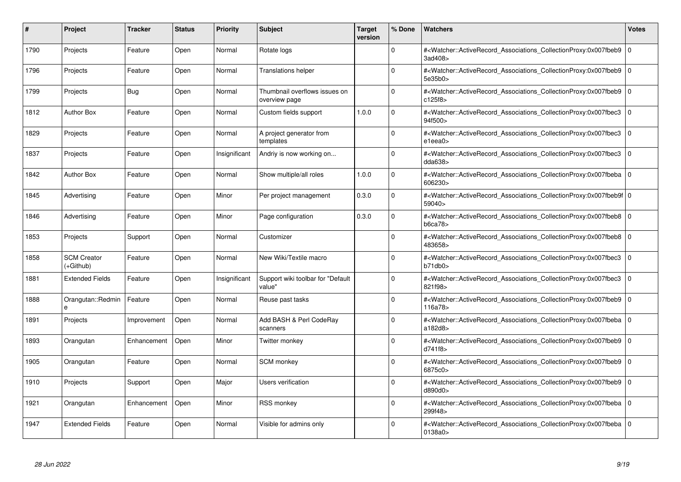| #    | <b>Project</b>                  | <b>Tracker</b> | <b>Status</b> | <b>Priority</b> | <b>Subject</b>                                 | <b>Target</b><br>version | % Done      | <b>Watchers</b>                                                                                                                                          | <b>Votes</b> |
|------|---------------------------------|----------------|---------------|-----------------|------------------------------------------------|--------------------------|-------------|----------------------------------------------------------------------------------------------------------------------------------------------------------|--------------|
| 1790 | Projects                        | Feature        | Open          | Normal          | Rotate logs                                    |                          | $\Omega$    | # <watcher::activerecord_associations_collectionproxy:0x007fbeb9<br>3ad408&gt;</watcher::activerecord_associations_collectionproxy:0x007fbeb9<br>        | $\mathbf 0$  |
| 1796 | Projects                        | Feature        | Open          | Normal          | <b>Translations helper</b>                     |                          | $\Omega$    | # <watcher::activerecord associations="" collectionproxy:0x007fbeb9=""  <br="">5e35b0&gt;</watcher::activerecord>                                        | $\mathbf 0$  |
| 1799 | Projects                        | <b>Bug</b>     | Open          | Normal          | Thumbnail overflows issues on<br>overview page |                          | $\Omega$    | # <watcher::activerecord_associations_collectionproxy:0x007fbeb9<br>c125f8&gt;</watcher::activerecord_associations_collectionproxy:0x007fbeb9<br>        | $\mathbf 0$  |
| 1812 | <b>Author Box</b>               | Feature        | Open          | Normal          | Custom fields support                          | 1.0.0                    | 0           | # <watcher::activerecord_associations_collectionproxy:0x007fbec3 0<br=""  ="">94f500&gt;</watcher::activerecord_associations_collectionproxy:0x007fbec3> |              |
| 1829 | Projects                        | Feature        | Open          | Normal          | A project generator from<br>templates          |                          | $\Omega$    | # <watcher::activerecord associations="" collectionproxy:0x007fbec3<br="">e1eea0&gt;</watcher::activerecord>                                             | $\mathbf 0$  |
| 1837 | Projects                        | Feature        | Open          | Insignificant   | Andriy is now working on                       |                          | $\mathbf 0$ | # <watcher::activerecord_associations_collectionproxy:0x007fbec3  <br="">dda638</watcher::activerecord_associations_collectionproxy:0x007fbec3>          | $\mathbf 0$  |
| 1842 | <b>Author Box</b>               | Feature        | Open          | Normal          | Show multiple/all roles                        | 1.0.0                    | $\Omega$    | # <watcher::activerecord associations="" collectionproxy:0x007fbeba<br="">606230&gt;</watcher::activerecord>                                             | $\Omega$     |
| 1845 | Advertising                     | Feature        | Open          | Minor           | Per project management                         | 0.3.0                    | $\Omega$    | # <watcher::activerecord 0<br="" associations="" collectionproxy:0x007fbeb9f=""  ="">59040 &gt;</watcher::activerecord>                                  |              |
| 1846 | Advertising                     | Feature        | Open          | Minor           | Page configuration                             | 0.3.0                    | $\Omega$    | # <watcher::activerecord_associations_collectionproxy:0x007fbeb8  <br="">b6ca78</watcher::activerecord_associations_collectionproxy:0x007fbeb8>          | $\mathbf 0$  |
| 1853 | Projects                        | Support        | Open          | Normal          | Customizer                                     |                          | $\Omega$    | # <watcher::activerecord_associations_collectionproxy:0x007fbeb8  <br="">483658&gt;</watcher::activerecord_associations_collectionproxy:0x007fbeb8>      | $\Omega$     |
| 1858 | <b>SCM Creator</b><br>(+Github) | Feature        | Open          | Normal          | New Wiki/Textile macro                         |                          | $\Omega$    | # <watcher::activerecord associations="" collectionproxy:0x007fbec3<br="">b71db0</watcher::activerecord>                                                 | $\mathbf 0$  |
| 1881 | <b>Extended Fields</b>          | Feature        | Open          | Insignificant   | Support wiki toolbar for "Default<br>value"    |                          | $\Omega$    | # <watcher::activerecord_associations_collectionproxy:0x007fbec3  <br="">821f98&gt;</watcher::activerecord_associations_collectionproxy:0x007fbec3>      | $\mathbf 0$  |
| 1888 | Orangutan::Redmin<br>e          | Feature        | Open          | Normal          | Reuse past tasks                               |                          | 0           | # <watcher::activerecord_associations_collectionproxy:0x007fbeb9  <br="">116a78&gt;</watcher::activerecord_associations_collectionproxy:0x007fbeb9>      | $\mathbf 0$  |
| 1891 | Projects                        | Improvement    | Open          | Normal          | Add BASH & Perl CodeRay<br>scanners            |                          | 0           | # <watcher::activerecord associations="" collectionproxy:0x007fbeba<br="">a182d8&gt;</watcher::activerecord>                                             | $\mathbf 0$  |
| 1893 | Orangutan                       | Enhancement    | Open          | Minor           | Twitter monkey                                 |                          | 0           | # <watcher::activerecord_associations_collectionproxy:0x007fbeb9  <br="">d741f8&gt;</watcher::activerecord_associations_collectionproxy:0x007fbeb9>      | $\mathbf 0$  |
| 1905 | Orangutan                       | Feature        | Open          | Normal          | <b>SCM</b> monkey                              |                          | O           | # <watcher::activerecord_associations_collectionproxy:0x007fbeb9<br>6875c0&gt;</watcher::activerecord_associations_collectionproxy:0x007fbeb9<br>        | $\Omega$     |
| 1910 | Projects                        | Support        | Open          | Major           | Users verification                             |                          | $\Omega$    | # <watcher::activerecord associations="" collectionproxy:0x007fbeb9<br="">d890d0&gt;</watcher::activerecord>                                             | $\mathbf 0$  |
| 1921 | Orangutan                       | Enhancement    | Open          | Minor           | RSS monkey                                     |                          | 0           | # <watcher::activerecord associations="" collectionproxy:0x007fbeba<br="">299f48&gt;</watcher::activerecord>                                             | $\mathbf 0$  |
| 1947 | <b>Extended Fields</b>          | Feature        | Open          | Normal          | Visible for admins only                        |                          | 0           | # <watcher::activerecord_associations_collectionproxy:0x007fbeba 0<br=""  ="">0138a0&gt;</watcher::activerecord_associations_collectionproxy:0x007fbeba> |              |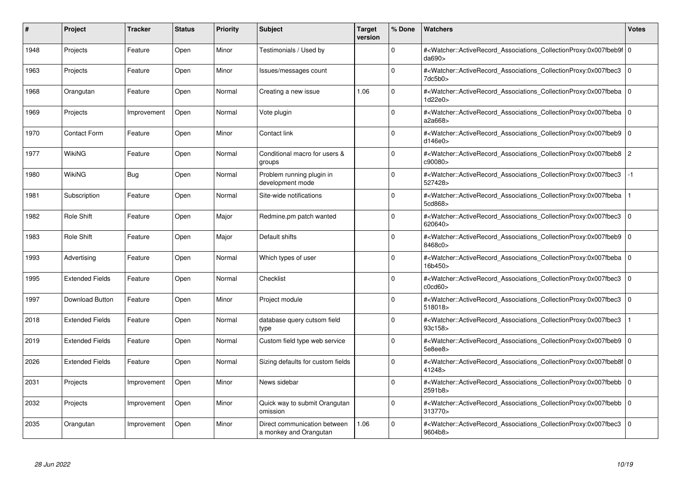| #    | Project                | <b>Tracker</b> | <b>Status</b> | <b>Priority</b> | <b>Subject</b>                                         | Target<br>version | % Done      | <b>Watchers</b>                                                                                                                                          | <b>Votes</b>   |
|------|------------------------|----------------|---------------|-----------------|--------------------------------------------------------|-------------------|-------------|----------------------------------------------------------------------------------------------------------------------------------------------------------|----------------|
| 1948 | Projects               | Feature        | Open          | Minor           | Testimonials / Used by                                 |                   | $\Omega$    | # <watcher::activerecord 0<br="" associations="" collectionproxy:0x007fbeb9f=""  ="">da690&gt;</watcher::activerecord>                                   |                |
| 1963 | Projects               | Feature        | Open          | Minor           | Issues/messages count                                  |                   | $\Omega$    | # <watcher::activerecord_associations_collectionproxy:0x007fbec3 0<br=""  ="">7dc5b0&gt;</watcher::activerecord_associations_collectionproxy:0x007fbec3> |                |
| 1968 | Orangutan              | Feature        | Open          | Normal          | Creating a new issue                                   | 1.06              | $\Omega$    | # <watcher::activerecord associations="" collectionproxy:0x007fbeba<br="">1d22e0&gt;</watcher::activerecord>                                             | $\mathbf 0$    |
| 1969 | Projects               | Improvement    | Open          | Normal          | Vote plugin                                            |                   | $\Omega$    | # <watcher::activerecord 0<br="" associations="" collectionproxy:0x007fbeba=""  ="">a2a668&gt;</watcher::activerecord>                                   |                |
| 1970 | <b>Contact Form</b>    | Feature        | Open          | Minor           | Contact link                                           |                   | $\Omega$    | # <watcher::activerecord_associations_collectionproxy:0x007fbeb9  <br="">d146e0</watcher::activerecord_associations_collectionproxy:0x007fbeb9>          | $\mathbf 0$    |
| 1977 | WikiNG                 | Feature        | Open          | Normal          | Conditional macro for users &<br>groups                |                   | $\Omega$    | # <watcher::activerecord associations="" collectionproxy:0x007fbeb8<br="">c90080&gt;</watcher::activerecord>                                             | $\overline{2}$ |
| 1980 | WikiNG                 | Bug            | Open          | Normal          | Problem running plugin in<br>development mode          |                   | $\Omega$    | # <watcher::activerecord_associations_collectionproxy:0x007fbec3<br>527428&gt;</watcher::activerecord_associations_collectionproxy:0x007fbec3<br>        | $-1$           |
| 1981 | Subscription           | Feature        | Open          | Normal          | Site-wide notifications                                |                   | $\Omega$    | # <watcher::activerecord associations="" collectionproxy:0x007fbeba<br="">5cd868&gt;</watcher::activerecord>                                             |                |
| 1982 | Role Shift             | Feature        | Open          | Major           | Redmine.pm patch wanted                                |                   | $\Omega$    | # <watcher::activerecord_associations_collectionproxy:0x007fbec3 0<br="">620640&gt;</watcher::activerecord_associations_collectionproxy:0x007fbec3>      |                |
| 1983 | <b>Role Shift</b>      | Feature        | Open          | Major           | Default shifts                                         |                   | $\Omega$    | # <watcher::activerecord associations="" collectionproxy:0x007fbeb9=""  <br="">8468c0&gt;</watcher::activerecord>                                        | $\Omega$       |
| 1993 | Advertising            | Feature        | Open          | Normal          | Which types of user                                    |                   | $\Omega$    | # <watcher::activerecord 0<br="" associations="" collectionproxy:0x007fbeba=""  ="">16b450&gt;</watcher::activerecord>                                   |                |
| 1995 | <b>Extended Fields</b> | Feature        | Open          | Normal          | Checklist                                              |                   | $\Omega$    | # <watcher::activerecord associations="" collectionproxy:0x007fbec3=""  <br="">c0cd60</watcher::activerecord>                                            | $\Omega$       |
| 1997 | Download Button        | Feature        | Open          | Minor           | Project module                                         |                   | $\Omega$    | # <watcher::activerecord associations="" collectionproxy:0x007fbec3<br="">518018&gt;</watcher::activerecord>                                             | $\mathbf 0$    |
| 2018 | <b>Extended Fields</b> | Feature        | Open          | Normal          | database query cutsom field<br>type                    |                   | $\mathbf 0$ | # <watcher::activerecord_associations_collectionproxy:0x007fbec3<br>93c158&gt;</watcher::activerecord_associations_collectionproxy:0x007fbec3<br>        |                |
| 2019 | <b>Extended Fields</b> | Feature        | Open          | Normal          | Custom field type web service                          |                   | $\Omega$    | # <watcher::activerecord_associations_collectionproxy:0x007fbeb9 0<br=""  ="">5e8ee8&gt;</watcher::activerecord_associations_collectionproxy:0x007fbeb9> |                |
| 2026 | <b>Extended Fields</b> | Feature        | Open          | Normal          | Sizing defaults for custom fields                      |                   | $\Omega$    | # <watcher::activerecord 0<br="" associations="" collectionproxy:0x007fbeb8f=""  ="">41248&gt;</watcher::activerecord>                                   |                |
| 2031 | Projects               | Improvement    | Open          | Minor           | News sidebar                                           |                   | $\Omega$    | # <watcher::activerecord_associations_collectionproxy:0x007fbebb  <br="">2591b8&gt;</watcher::activerecord_associations_collectionproxy:0x007fbebb>      | $\mathbf 0$    |
| 2032 | Projects               | Improvement    | Open          | Minor           | Quick way to submit Orangutan<br>omission              |                   | $\Omega$    | # <watcher::activerecord associations="" collectionproxy:0x007fbebb=""  <br="">313770&gt;</watcher::activerecord>                                        | $\mathbf 0$    |
| 2035 | Orangutan              | Improvement    | Open          | Minor           | Direct communication between<br>a monkey and Orangutan | 1.06              | $\Omega$    | # <watcher::activerecord associations="" collectionproxy:0x007fbec3<br="">9604b8&gt;</watcher::activerecord>                                             | $\mathbf 0$    |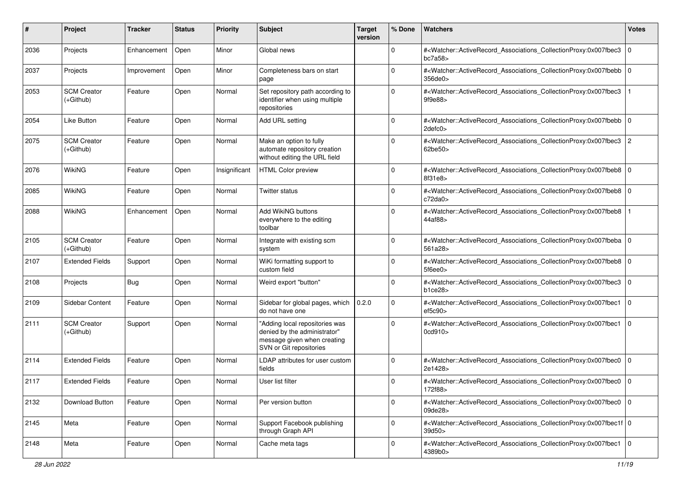| #    | Project                           | Tracker     | <b>Status</b> | <b>Priority</b> | <b>Subject</b>                                                                                                           | <b>Target</b><br>version | % Done      | Watchers                                                                                                                                                     | <b>Votes</b>   |
|------|-----------------------------------|-------------|---------------|-----------------|--------------------------------------------------------------------------------------------------------------------------|--------------------------|-------------|--------------------------------------------------------------------------------------------------------------------------------------------------------------|----------------|
| 2036 | Projects                          | Enhancement | Open          | Minor           | Global news                                                                                                              |                          | $\mathbf 0$ | # <watcher::activerecord_associations_collectionproxy:0x007fbec3<br>bc7a58</watcher::activerecord_associations_collectionproxy:0x007fbec3<br>                | l 0            |
| 2037 | Projects                          | Improvement | Open          | Minor           | Completeness bars on start<br>page                                                                                       |                          | $\mathbf 0$ | # <watcher::activerecord_associations_collectionproxy:0x007fbebb 0<br=""  ="">356de0</watcher::activerecord_associations_collectionproxy:0x007fbebb>         |                |
| 2053 | <b>SCM Creator</b><br>$(+Github)$ | Feature     | Open          | Normal          | Set repository path according to<br>identifier when using multiple<br>repositories                                       |                          | $\Omega$    | # <watcher::activerecord_associations_collectionproxy:0x007fbec3<br>9f9e88&gt;</watcher::activerecord_associations_collectionproxy:0x007fbec3<br>            |                |
| 2054 | <b>Like Button</b>                | Feature     | Open          | Normal          | Add URL setting                                                                                                          |                          | $\mathbf 0$ | # <watcher::activerecord_associations_collectionproxy:0x007fbebb 0<br="">2defc0&gt;</watcher::activerecord_associations_collectionproxy:0x007fbebb>          |                |
| 2075 | <b>SCM Creator</b><br>$(+Github)$ | Feature     | Open          | Normal          | Make an option to fully<br>automate repository creation<br>without editing the URL field                                 |                          | $\Omega$    | # <watcher::activerecord_associations_collectionproxy:0x007fbec3<br>62be50&gt;</watcher::activerecord_associations_collectionproxy:0x007fbec3<br>            | $\overline{2}$ |
| 2076 | <b>WikiNG</b>                     | Feature     | Open          | Insignificant   | <b>HTML Color preview</b>                                                                                                |                          | $\Omega$    | # <watcher::activerecord_associations_collectionproxy:0x007fbeb8 0<br=""  ="">8f31e8&gt;</watcher::activerecord_associations_collectionproxy:0x007fbeb8>     |                |
| 2085 | <b>WikiNG</b>                     | Feature     | Open          | Normal          | Twitter status                                                                                                           |                          | $\mathbf 0$ | # <watcher::activerecord_associations_collectionproxy:0x007fbeb8 0<br=""  ="">c72da0</watcher::activerecord_associations_collectionproxy:0x007fbeb8>         |                |
| 2088 | WikiNG                            | Enhancement | Open          | Normal          | Add WikiNG buttons<br>everywhere to the editing<br>toolbar                                                               |                          | $\Omega$    | # <watcher::activerecord_associations_collectionproxy:0x007fbeb8<br>44af88&gt;</watcher::activerecord_associations_collectionproxy:0x007fbeb8<br>            |                |
| 2105 | <b>SCM Creator</b><br>(+Github)   | Feature     | Open          | Normal          | Integrate with existing scm<br>system                                                                                    |                          | $\Omega$    | # <watcher::activerecord_associations_collectionproxy:0x007fbeba 0<br=""  ="">561a28&gt;</watcher::activerecord_associations_collectionproxy:0x007fbeba>     |                |
| 2107 | <b>Extended Fields</b>            | Support     | Open          | Normal          | WiKi formatting support to<br>custom field                                                                               |                          | $\Omega$    | # <watcher::activerecord_associations_collectionproxy:0x007fbeb8 0<br="">5f6ee0</watcher::activerecord_associations_collectionproxy:0x007fbeb8>              |                |
| 2108 | Projects                          | Bug         | Open          | Normal          | Weird export "button"                                                                                                    |                          | $\mathbf 0$ | # <watcher::activerecord_associations_collectionproxy:0x007fbec3<br>b1ce28</watcher::activerecord_associations_collectionproxy:0x007fbec3<br>                | $\overline{0}$ |
| 2109 | Sidebar Content                   | Feature     | Open          | Normal          | Sidebar for global pages, which<br>do not have one                                                                       | 0.2.0                    | $\mathbf 0$ | # <watcher::activerecord_associations_collectionproxy:0x007fbec1<br>ef5c90<sub>&gt;</sub></watcher::activerecord_associations_collectionproxy:0x007fbec1<br> | l 0            |
| 2111 | <b>SCM Creator</b><br>$(+Github)$ | Support     | Open          | Normal          | "Adding local repositories was<br>denied by the administrator"<br>message given when creating<br>SVN or Git repositories |                          | $\Omega$    | # <watcher::activerecord_associations_collectionproxy:0x007fbec1<br>0cd910&gt;</watcher::activerecord_associations_collectionproxy:0x007fbec1<br>            | $\Omega$       |
| 2114 | <b>Extended Fields</b>            | Feature     | Open          | Normal          | LDAP attributes for user custom<br>fields                                                                                |                          | $\mathbf 0$ | # <watcher::activerecord_associations_collectionproxy:0x007fbec0<br>2e1428&gt;</watcher::activerecord_associations_collectionproxy:0x007fbec0<br>            | l 0            |
| 2117 | <b>Extended Fields</b>            | Feature     | Open          | Normal          | User list filter                                                                                                         |                          | $\mathbf 0$ | # <watcher::activerecord_associations_collectionproxy:0x007fbec0 0<br="">172f88&gt;</watcher::activerecord_associations_collectionproxy:0x007fbec0>          |                |
| 2132 | Download Button                   | Feature     | Open          | Normal          | Per version button                                                                                                       |                          | 0           | # <watcher::activerecord 0<br="" associations="" collectionproxy:0x007fbec0="">09de28&gt;</watcher::activerecord>                                            |                |
| 2145 | Meta                              | Feature     | Open          | Normal          | Support Facebook publishing<br>through Graph API                                                                         |                          | $\mathbf 0$ | # <watcher::activerecord_associations_collectionproxy:0x007fbec1f 0<br=""  ="">39d50&gt;</watcher::activerecord_associations_collectionproxy:0x007fbec1f>    |                |
| 2148 | Meta                              | Feature     | Open          | Normal          | Cache meta tags                                                                                                          |                          | 0           | # <watcher::activerecord_associations_collectionproxy:0x007fbec1 0<br=""  ="">4389b0&gt;</watcher::activerecord_associations_collectionproxy:0x007fbec1>     |                |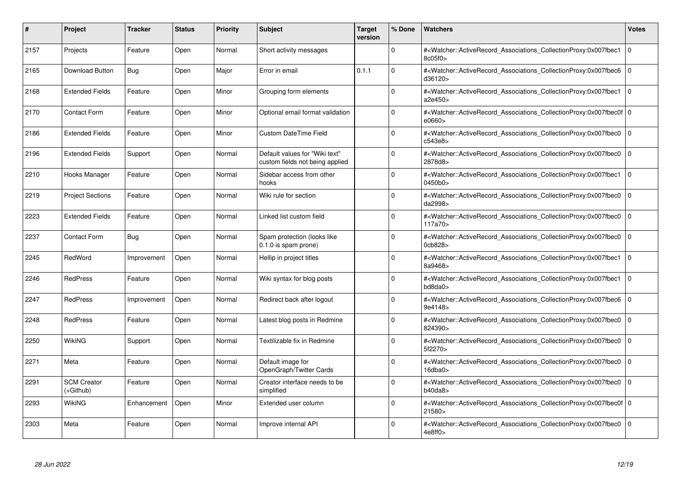| #    | Project                         | Tracker     | <b>Status</b> | <b>Priority</b> | <b>Subject</b>                                                    | <b>Target</b><br>version | % Done   | <b>Watchers</b>                                                                                                                                          | <b>Votes</b> |
|------|---------------------------------|-------------|---------------|-----------------|-------------------------------------------------------------------|--------------------------|----------|----------------------------------------------------------------------------------------------------------------------------------------------------------|--------------|
| 2157 | Projects                        | Feature     | Open          | Normal          | Short activity messages                                           |                          | $\Omega$ | # <watcher::activerecord associations="" collectionproxy:0x007fbec1<br="">8c05f0&gt;</watcher::activerecord>                                             | $\mathbf{0}$ |
| 2165 | Download Button                 | <b>Bug</b>  | Open          | Major           | Error in email                                                    | 0.1.1                    | $\Omega$ | # <watcher::activerecord 0<br="" associations="" collectionproxy:0x007fbec6=""  ="">d36120&gt;</watcher::activerecord>                                   |              |
| 2168 | <b>Extended Fields</b>          | Feature     | Open          | Minor           | Grouping form elements                                            |                          | $\Omega$ | # <watcher::activerecord_associations_collectionproxy:0x007fbec1<br>a2e450&gt;</watcher::activerecord_associations_collectionproxy:0x007fbec1<br>        | $\Omega$     |
| 2170 | Contact Form                    | Feature     | Open          | Minor           | Optional email format validation                                  |                          | $\Omega$ | # <watcher::activerecord 0<br="" associations="" collectionproxy:0x007fbec0f=""  ="">e0660</watcher::activerecord>                                       |              |
| 2186 | <b>Extended Fields</b>          | Feature     | Open          | Minor           | <b>Custom DateTime Field</b>                                      |                          | $\Omega$ | # <watcher::activerecord_associations_collectionproxy:0x007fbec0<br>c543e8&gt;</watcher::activerecord_associations_collectionproxy:0x007fbec0<br>        | $\mathbf 0$  |
| 2196 | <b>Extended Fields</b>          | Support     | Open          | Normal          | Default values for "Wiki text"<br>custom fields not being applied |                          | $\Omega$ | # <watcher::activerecord_associations_collectionproxy:0x007fbec0  <br="">2878d8&gt;</watcher::activerecord_associations_collectionproxy:0x007fbec0>      | $\Omega$     |
| 2210 | Hooks Manager                   | Feature     | Open          | Normal          | Sidebar access from other<br>hooks                                |                          | $\Omega$ | # <watcher::activerecord associations="" collectionproxy:0x007fbec1<br="">0450b0</watcher::activerecord>                                                 | $\mathbf 0$  |
| 2219 | <b>Project Sections</b>         | Feature     | Open          | Normal          | Wiki rule for section                                             |                          | $\Omega$ | # <watcher::activerecord_associations_collectionproxy:0x007fbec0  <br="">da2998&gt;</watcher::activerecord_associations_collectionproxy:0x007fbec0>      | $\mathbf 0$  |
| 2223 | <b>Extended Fields</b>          | Feature     | Open          | Normal          | Linked list custom field                                          |                          | $\Omega$ | # <watcher::activerecord associations="" collectionproxy:0x007fbec0<br="">117a70&gt;</watcher::activerecord>                                             | $\mathbf 0$  |
| 2237 | <b>Contact Form</b>             | Bug         | Open          | Normal          | Spam protection (looks like<br>0.1.0 is spam prone)               |                          | $\Omega$ | # <watcher::activerecord associations="" collectionproxy:0x007fbec0<br="">0cb828&gt;</watcher::activerecord>                                             | $\mathbf{0}$ |
| 2245 | RedWord                         | Improvement | Open          | Normal          | Hellip in project titles                                          |                          | $\Omega$ | # <watcher::activerecord_associations_collectionproxy:0x007fbec1<br>8a9468&gt;</watcher::activerecord_associations_collectionproxy:0x007fbec1<br>        | $\Omega$     |
| 2246 | <b>RedPress</b>                 | Feature     | Open          | Normal          | Wiki syntax for blog posts                                        |                          | $\Omega$ | # <watcher::activerecord associations="" collectionproxy:0x007fbec1<br="">bd8da0&gt;</watcher::activerecord>                                             | $\mathbf 0$  |
| 2247 | <b>RedPress</b>                 | Improvement | Open          | Normal          | Redirect back after logout                                        |                          | $\Omega$ | # <watcher::activerecord associations="" collectionproxy:0x007fbec6<br="">9e4148&gt;</watcher::activerecord>                                             | $\mathbf 0$  |
| 2248 | <b>RedPress</b>                 | Feature     | Open          | Normal          | Latest blog posts in Redmine                                      |                          | $\Omega$ | # <watcher::activerecord_associations_collectionproxy:0x007fbec0<br>824390&gt;</watcher::activerecord_associations_collectionproxy:0x007fbec0<br>        | $\Omega$     |
| 2250 | WikiNG                          | Support     | Open          | Normal          | Textilizable fix in Redmine                                       |                          | $\Omega$ | # <watcher::activerecord associations="" collectionproxy:0x007fbec0<br="">5f2270&gt;</watcher::activerecord>                                             | $\mathbf 0$  |
| 2271 | Meta                            | Feature     | Open          | Normal          | Default image for<br>OpenGraph/Twitter Cards                      |                          | $\Omega$ | # <watcher::activerecord_associations_collectionproxy:0x007fbec0<br>16dba0&gt;</watcher::activerecord_associations_collectionproxy:0x007fbec0<br>        | $\mathbf 0$  |
| 2291 | <b>SCM Creator</b><br>(+Github) | Feature     | Open          | Normal          | Creator interface needs to be<br>simplified                       |                          | $\Omega$ | # <watcher::activerecord_associations_collectionproxy:0x007fbec0 0<br=""  ="">b40da8</watcher::activerecord_associations_collectionproxy:0x007fbec0>     |              |
| 2293 | WikiNG                          | Enhancement | Open          | Minor           | Extended user column                                              |                          | $\Omega$ | # <watcher::activerecord 0<br="" associations="" collectionproxy:0x007fbec0f=""  ="">21580&gt;</watcher::activerecord>                                   |              |
| 2303 | Meta                            | Feature     | Open          | Normal          | Improve internal API                                              |                          | $\Omega$ | # <watcher::activerecord_associations_collectionproxy:0x007fbec0 0<br=""  ="">4e8ff0&gt;</watcher::activerecord_associations_collectionproxy:0x007fbec0> |              |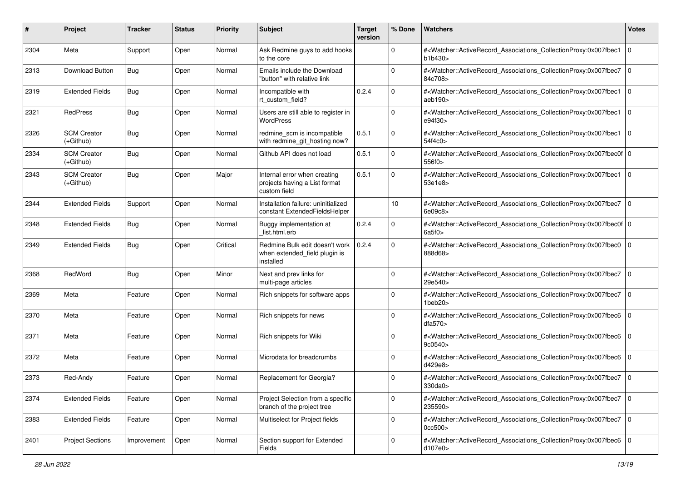| #    | Project                         | <b>Tracker</b> | <b>Status</b> | <b>Priority</b> | Subject                                                                       | <b>Target</b><br>version | % Done      | Watchers                                                                                                                                                                | <b>Votes</b> |
|------|---------------------------------|----------------|---------------|-----------------|-------------------------------------------------------------------------------|--------------------------|-------------|-------------------------------------------------------------------------------------------------------------------------------------------------------------------------|--------------|
| 2304 | Meta                            | Support        | Open          | Normal          | Ask Redmine guys to add hooks<br>to the core                                  |                          | 0           | # <watcher::activerecord_associations_collectionproxy:0x007fbec1<br>b1b430&gt;</watcher::activerecord_associations_collectionproxy:0x007fbec1<br>                       | l O          |
| 2313 | Download Button                 | Bug            | Open          | Normal          | Emails include the Download<br>"button" with relative link                    |                          | $\Omega$    | # <watcher::activerecord_associations_collectionproxy:0x007fbec7<br>84c708&gt;</watcher::activerecord_associations_collectionproxy:0x007fbec7<br>                       | l O          |
| 2319 | <b>Extended Fields</b>          | Bug            | Open          | Normal          | Incompatible with<br>rt custom field?                                         | 0.2.4                    | 0           | # <watcher::activerecord_associations_collectionproxy:0x007fbec1<br>aeb190&gt;</watcher::activerecord_associations_collectionproxy:0x007fbec1<br>                       | l O          |
| 2321 | RedPress                        | Bug            | Open          | Normal          | Users are still able to register in<br><b>WordPress</b>                       |                          | $\mathbf 0$ | # <watcher::activerecord_associations_collectionproxy:0x007fbec1<br>e94f30&gt;</watcher::activerecord_associations_collectionproxy:0x007fbec1<br>                       | l O          |
| 2326 | <b>SCM Creator</b><br>(+Github) | Bug            | Open          | Normal          | redmine_scm is incompatible<br>with redmine_git_hosting now?                  | 0.5.1                    | $\Omega$    | # <watcher::activerecord_associations_collectionproxy:0x007fbec1<br>54f4c0&gt;</watcher::activerecord_associations_collectionproxy:0x007fbec1<br>                       | l O          |
| 2334 | <b>SCM Creator</b><br>(+Github) | Bug            | Open          | Normal          | Github API does not load                                                      | 0.5.1                    | $\mathbf 0$ | # <watcher::activerecord_associations_collectionproxy:0x007fbec0f 0<br=""  ="">556f0&gt;</watcher::activerecord_associations_collectionproxy:0x007fbec0f>               |              |
| 2343 | <b>SCM Creator</b><br>(+Github) | Bug            | Open          | Major           | Internal error when creating<br>projects having a List format<br>custom field | 0.5.1                    | $\Omega$    | # <watcher::activerecord_associations_collectionproxy:0x007fbec1<br>53e1e8&gt;</watcher::activerecord_associations_collectionproxy:0x007fbec1<br>                       | $\Omega$     |
| 2344 | <b>Extended Fields</b>          | Support        | Open          | Normal          | Installation failure: uninitialized<br>constant ExtendedFieldsHelper          |                          | 10          | # <watcher::activerecord_associations_collectionproxy:0x007fbec7<br>6e09c8&gt;</watcher::activerecord_associations_collectionproxy:0x007fbec7<br>                       | $\mathbf 0$  |
| 2348 | <b>Extended Fields</b>          | Bug            | Open          | Normal          | Buggy implementation at<br>list.html.erb                                      | 0.2.4                    | 0           | # <watcher::activerecord_associations_collectionproxy:0x007fbec0f 0<br=""  ="">6a5f0</watcher::activerecord_associations_collectionproxy:0x007fbec0f>                   |              |
| 2349 | <b>Extended Fields</b>          | Bug            | Open          | Critical        | Redmine Bulk edit doesn't work<br>when extended_field plugin is<br>installed  | 0.2.4                    | $\Omega$    | # <watcher::activerecord_associations_collectionproxy:0x007fbec0<br>888d68&gt;</watcher::activerecord_associations_collectionproxy:0x007fbec0<br>                       | $\mathbf 0$  |
| 2368 | RedWord                         | <b>Bug</b>     | Open          | Minor           | Next and prev links for<br>multi-page articles                                |                          | $\Omega$    | # <watcher::activerecord_associations_collectionproxy:0x007fbec7<br>29e540&gt;</watcher::activerecord_associations_collectionproxy:0x007fbec7<br>                       | $\mathbf 0$  |
| 2369 | Meta                            | Feature        | Open          | Normal          | Rich snippets for software apps                                               |                          | $\Omega$    | # <watcher::activerecord_associations_collectionproxy:0x007fbec7<br><math>1</math>beb<math>20</math></watcher::activerecord_associations_collectionproxy:0x007fbec7<br> | l O          |
| 2370 | Meta                            | Feature        | Open          | Normal          | Rich snippets for news                                                        |                          | $\Omega$    | # <watcher::activerecord_associations_collectionproxy:0x007fbec6<br>dfa570&gt;</watcher::activerecord_associations_collectionproxy:0x007fbec6<br>                       | $\mathbf 0$  |
| 2371 | Meta                            | Feature        | Open          | Normal          | Rich snippets for Wiki                                                        |                          | $\mathbf 0$ | # <watcher::activerecord_associations_collectionproxy:0x007fbec6 0<br=""  ="">9c0540&gt;</watcher::activerecord_associations_collectionproxy:0x007fbec6>                |              |
| 2372 | Meta                            | Feature        | Open          | Normal          | Microdata for breadcrumbs                                                     |                          | $\Omega$    | # <watcher::activerecord_associations_collectionproxy:0x007fbec6<br>d429e8&gt;</watcher::activerecord_associations_collectionproxy:0x007fbec6<br>                       | $\mathbf 0$  |
| 2373 | Red-Andy                        | Feature        | Open          | Normal          | Replacement for Georgia?                                                      |                          | $\Omega$    | # <watcher::activerecord_associations_collectionproxy:0x007fbec7 0<br=""  ="">330da0&gt;</watcher::activerecord_associations_collectionproxy:0x007fbec7>                |              |
| 2374 | <b>Extended Fields</b>          | Feature        | Open          | Normal          | Project Selection from a specific<br>branch of the project tree               |                          | $\mathbf 0$ | # <watcher::activerecord_associations_collectionproxy:0x007fbec7 0<br="">235590&gt;</watcher::activerecord_associations_collectionproxy:0x007fbec7>                     |              |
| 2383 | <b>Extended Fields</b>          | Feature        | Open          | Normal          | Multiselect for Project fields                                                |                          | $\mathbf 0$ | # <watcher::activerecord_associations_collectionproxy:0x007fbec7 0<br="">0cc500&gt;</watcher::activerecord_associations_collectionproxy:0x007fbec7>                     |              |
| 2401 | <b>Project Sections</b>         | Improvement    | Open          | Normal          | Section support for Extended<br>Fields                                        |                          | 0           | # <watcher::activerecord_associations_collectionproxy:0x007fbec6 0<br="">d107e0&gt;</watcher::activerecord_associations_collectionproxy:0x007fbec6>                     |              |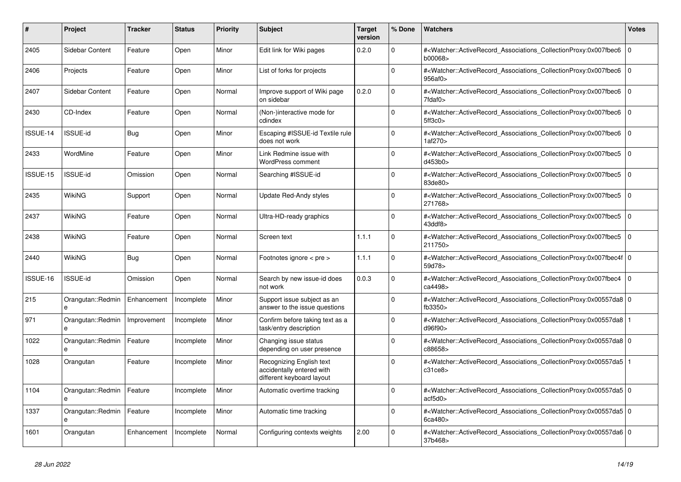| #        | <b>Project</b>                    | Tracker     | <b>Status</b> | <b>Priority</b> | <b>Subject</b>                                                                     | <b>Target</b><br>version | % Done      | <b>Watchers</b>                                                                                                                                           | <b>Votes</b>   |
|----------|-----------------------------------|-------------|---------------|-----------------|------------------------------------------------------------------------------------|--------------------------|-------------|-----------------------------------------------------------------------------------------------------------------------------------------------------------|----------------|
| 2405     | Sidebar Content                   | Feature     | Open          | Minor           | Edit link for Wiki pages                                                           | 0.2.0                    | $\Omega$    | # <watcher::activerecord_associations_collectionproxy:0x007fbec6<br>b00068&gt;</watcher::activerecord_associations_collectionproxy:0x007fbec6<br>         | $\overline{0}$ |
| 2406     | Projects                          | Feature     | Open          | Minor           | List of forks for projects                                                         |                          | $\Omega$    | # <watcher::activerecord_associations_collectionproxy:0x007fbec6<br>956af0</watcher::activerecord_associations_collectionproxy:0x007fbec6<br>             | $\overline{0}$ |
| 2407     | Sidebar Content                   | Feature     | Open          | Normal          | Improve support of Wiki page<br>on sidebar                                         | 0.2.0                    | $\Omega$    | # <watcher::activerecord_associations_collectionproxy:0x007fbec6 0<br="">7fdaf0&gt;</watcher::activerecord_associations_collectionproxy:0x007fbec6>       |                |
| 2430     | CD-Index                          | Feature     | Open          | Normal          | (Non-)interactive mode for<br>cdindex                                              |                          | $\Omega$    | # <watcher::activerecord_associations_collectionproxy:0x007fbec6<br>5ff3c0</watcher::activerecord_associations_collectionproxy:0x007fbec6<br>             | $\mathbf 0$    |
| ISSUE-14 | <b>ISSUE-id</b>                   | Bug         | Open          | Minor           | Escaping #ISSUE-id Textile rule<br>does not work                                   |                          | $\Omega$    | # <watcher::activerecord_associations_collectionproxy:0x007fbec6<br>1af270&gt;</watcher::activerecord_associations_collectionproxy:0x007fbec6<br>         | $\overline{0}$ |
| 2433     | WordMine                          | Feature     | Open          | Minor           | Link Redmine issue with<br>WordPress comment                                       |                          | $\Omega$    | # <watcher::activerecord associations="" collectionproxy:0x007fbec5<br="">d453b0&gt;</watcher::activerecord>                                              | l O            |
| ISSUE-15 | <b>ISSUE-id</b>                   | Omission    | Open          | Normal          | Searching #ISSUE-id                                                                |                          | $\Omega$    | # <watcher::activerecord associations="" collectionproxy:0x007fbec5<br="">83de80&gt;</watcher::activerecord>                                              | $\mathbf 0$    |
| 2435     | WikiNG                            | Support     | Open          | Normal          | Update Red-Andy styles                                                             |                          | $\Omega$    | # <watcher::activerecord associations="" collectionproxy:0x007fbec5<br="">271768&gt;</watcher::activerecord>                                              | l O            |
| 2437     | <b>WikiNG</b>                     | Feature     | Open          | Normal          | Ultra-HD-ready graphics                                                            |                          | $\mathbf 0$ | # <watcher::activerecord_associations_collectionproxy:0x007fbec5<br>43ddf8&gt;</watcher::activerecord_associations_collectionproxy:0x007fbec5<br>         | l o            |
| 2438     | <b>WikiNG</b>                     | Feature     | Open          | Normal          | Screen text                                                                        | 1.1.1                    | $\Omega$    | # <watcher::activerecord associations="" collectionproxy:0x007fbec5<br="">211750&gt;</watcher::activerecord>                                              | $\mathbf 0$    |
| 2440     | WikiNG                            | Bug         | Open          | Normal          | Footnotes ignore < pre >                                                           | 1.1.1                    | $\Omega$    | # <watcher::activerecord_associations_collectionproxy:0x007fbec4f 0<br=""  ="">59d78&gt;</watcher::activerecord_associations_collectionproxy:0x007fbec4f> |                |
| ISSUE-16 | ISSUE-id                          | Omission    | Open          | Normal          | Search by new issue-id does<br>not work                                            | 0.0.3                    | $\Omega$    | # <watcher::activerecord associations="" collectionproxy:0x007fbec4<br="">ca4498&gt;</watcher::activerecord>                                              | l O            |
| 215      | Orangutan::Redmin<br>e            | Enhancement | Incomplete    | Minor           | Support issue subject as an<br>answer to the issue questions                       |                          | $\Omega$    | # <watcher::activerecord 0<br="" associations="" collectionproxy:0x00557da8=""  ="">fb<math>3350</math></watcher::activerecord>                           |                |
| 971      | Orangutan::Redmin<br>e            | Improvement | Incomplete    | Minor           | Confirm before taking text as a<br>task/entry description                          |                          | $\Omega$    | # <watcher::activerecord_associations_collectionproxy:0x00557da8 1<br=""  ="">d96f90&gt;</watcher::activerecord_associations_collectionproxy:0x00557da8>  |                |
| 1022     | Orangutan::Redmin<br>e            | Feature     | Incomplete    | Minor           | Changing issue status<br>depending on user presence                                |                          | $\Omega$    | # <watcher::activerecord_associations_collectionproxy:0x00557da8 0<br=""  ="">c88658&gt;</watcher::activerecord_associations_collectionproxy:0x00557da8>  |                |
| 1028     | Orangutan                         | Feature     | Incomplete    | Minor           | Recognizing English text<br>accidentally entered with<br>different keyboard layout |                          | $\Omega$    | # <watcher::activerecord 1<br="" associations="" collectionproxy:0x00557da5=""  ="">c31ce8</watcher::activerecord>                                        |                |
| 1104     | Orangutan::Redmin<br>$\mathbf{a}$ | Feature     | Incomplete    | Minor           | Automatic overtime tracking                                                        |                          | $\Omega$    | # <watcher::activerecord 0<br="" associations="" collectionproxy:0x00557da5=""  ="">act5d0</watcher::activerecord>                                        |                |
| 1337     | Orangutan::Redmin<br>e            | Feature     | Incomplete    | Minor           | Automatic time tracking                                                            |                          | $\mathbf 0$ | # <watcher::activerecord_associations_collectionproxy:0x00557da5 0<br=""  ="">6ca480&gt;</watcher::activerecord_associations_collectionproxy:0x00557da5>  |                |
| 1601     | Orangutan                         | Enhancement | Incomplete    | Normal          | Configuring contexts weights                                                       | 2.00                     | $\Omega$    | # <watcher::activerecord_associations_collectionproxy:0x00557da6 0<br="">37b468&gt;</watcher::activerecord_associations_collectionproxy:0x00557da6>       |                |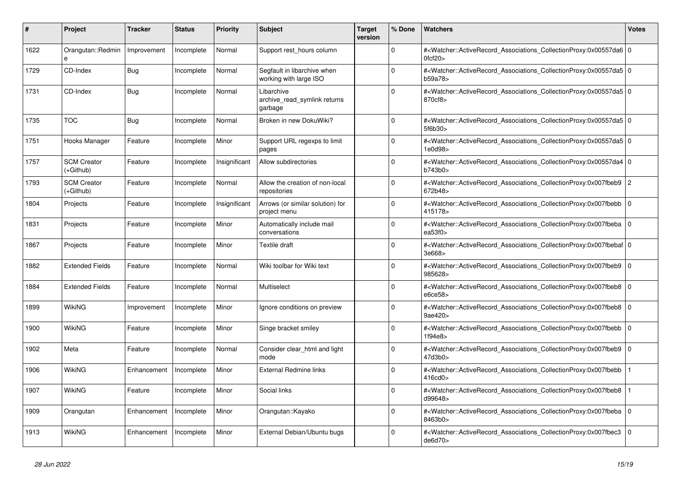| #    | <b>Project</b>                  | Tracker     | <b>Status</b> | <b>Priority</b> | <b>Subject</b>                                        | <b>Target</b><br>version | % Done      | <b>Watchers</b>                                                                                                                                          | <b>Votes</b>   |
|------|---------------------------------|-------------|---------------|-----------------|-------------------------------------------------------|--------------------------|-------------|----------------------------------------------------------------------------------------------------------------------------------------------------------|----------------|
| 1622 | Orangutan::Redmin<br>e          | Improvement | Incomplete    | Normal          | Support rest hours column                             |                          | $\Omega$    | # <watcher::activerecord_associations_collectionproxy:0x00557da6 0<br=""  ="">0fcf20</watcher::activerecord_associations_collectionproxy:0x00557da6>     |                |
| 1729 | CD-Index                        | Bug         | Incomplete    | Normal          | Segfault in libarchive when<br>working with large ISO |                          | $\Omega$    | # <watcher::activerecord_associations_collectionproxy:0x00557da5 0<br=""  ="">b59a78&gt;</watcher::activerecord_associations_collectionproxy:0x00557da5> |                |
| 1731 | CD-Index                        | <b>Bug</b>  | Incomplete    | Normal          | Libarchive<br>archive read symlink returns<br>garbage |                          | $\Omega$    | # <watcher::activerecord 0<br="" associations="" collectionproxy:0x00557da5=""  ="">870cf8&gt;</watcher::activerecord>                                   |                |
| 1735 | <b>TOC</b>                      | Bug         | Incomplete    | Normal          | Broken in new DokuWiki?                               |                          | $\Omega$    | # <watcher::activerecord_associations_collectionproxy:0x00557da5 0<br=""  ="">5f6b30&gt;</watcher::activerecord_associations_collectionproxy:0x00557da5> |                |
| 1751 | Hooks Manager                   | Feature     | Incomplete    | Minor           | Support URL regexps to limit<br>pages                 |                          | $\Omega$    | # <watcher::activerecord 0<br="" associations="" collectionproxy:0x00557da5=""  ="">1e0d98&gt;</watcher::activerecord>                                   |                |
| 1757 | <b>SCM Creator</b><br>(+Github) | Feature     | Incomplete    | Insignificant   | Allow subdirectories                                  |                          | $\Omega$    | # <watcher::activerecord_associations_collectionproxy:0x00557da4 0<br=""  ="">b743b0&gt;</watcher::activerecord_associations_collectionproxy:0x00557da4> |                |
| 1793 | <b>SCM Creator</b><br>(+Github) | Feature     | Incomplete    | Normal          | Allow the creation of non-local<br>repositories       |                          | $\Omega$    | # <watcher::activerecord_associations_collectionproxy:0x007fbeb9<br>672b48&gt;</watcher::activerecord_associations_collectionproxy:0x007fbeb9<br>        | $\overline{2}$ |
| 1804 | Projects                        | Feature     | Incomplete    | Insignificant   | Arrows (or similar solution) for<br>project menu      |                          | $\Omega$    | # <watcher::activerecord_associations_collectionproxy:0x007fbebb<br>415178&gt;</watcher::activerecord_associations_collectionproxy:0x007fbebb<br>        | l o            |
| 1831 | Projects                        | Feature     | Incomplete    | Minor           | Automatically include mail<br>conversations           |                          | $\mathbf 0$ | # <watcher::activerecord 0<br="" associations="" collectionproxy:0x007fbeba=""  ="">ea53f0<sub>&gt;</sub></watcher::activerecord>                        |                |
| 1867 | Projects                        | Feature     | Incomplete    | Minor           | Textile draft                                         |                          | $\Omega$    | # <watcher::activerecord_associations_collectionproxy:0x007fbebaf 0<br="">3e668&gt;</watcher::activerecord_associations_collectionproxy:0x007fbebaf>     |                |
| 1882 | <b>Extended Fields</b>          | Feature     | Incomplete    | Normal          | Wiki toolbar for Wiki text                            |                          | $\Omega$    | # <watcher::activerecord associations="" collectionproxy:0x007fbeb9<br="">985628&gt;</watcher::activerecord>                                             | $\overline{0}$ |
| 1884 | <b>Extended Fields</b>          | Feature     | Incomplete    | Normal          | Multiselect                                           |                          | $\mathbf 0$ | # <watcher::activerecord 0<br="" associations="" collectionproxy:0x007fbeb8="">e6ce58&gt;</watcher::activerecord>                                        |                |
| 1899 | WikiNG                          | Improvement | Incomplete    | Minor           | Ignore conditions on preview                          |                          | $\Omega$    | # <watcher::activerecord_associations_collectionproxy:0x007fbeb8<br>9ae420&gt;</watcher::activerecord_associations_collectionproxy:0x007fbeb8<br>        | $\Omega$       |
| 1900 | WikiNG                          | Feature     | Incomplete    | Minor           | Singe bracket smiley                                  |                          | $\Omega$    | # <watcher::activerecord_associations_collectionproxy:0x007fbebb 0<br="">1f94e8</watcher::activerecord_associations_collectionproxy:0x007fbebb>          |                |
| 1902 | Meta                            | Feature     | Incomplete    | Normal          | Consider clear html and light<br>mode                 |                          | $\mathbf 0$ | # <watcher::activerecord associations="" collectionproxy:0x007fbeb9<br="">47d3b0&gt;</watcher::activerecord>                                             | l 0            |
| 1906 | WikiNG                          | Enhancement | Incomplete    | Minor           | <b>External Redmine links</b>                         |                          | $\Omega$    | # <watcher::activerecord_associations_collectionproxy:0x007fbebb<br>416cd0</watcher::activerecord_associations_collectionproxy:0x007fbebb<br>            |                |
| 1907 | WikiNG                          | Feature     | Incomplete    | Minor           | Social links                                          |                          | $\Omega$    | # <watcher::activerecord associations="" collectionproxy:0x007fbeb8<br="">d99648&gt;</watcher::activerecord>                                             |                |
| 1909 | Orangutan                       | Enhancement | Incomplete    | Minor           | Orangutan::Kayako                                     |                          | $\Omega$    | # <watcher::activerecord_associations_collectionproxy:0x007fbeba<br>8463b0&gt;</watcher::activerecord_associations_collectionproxy:0x007fbeba<br>        | $\mathbf 0$    |
| 1913 | WikiNG                          | Enhancement | Incomplete    | Minor           | External Debian/Ubuntu bugs                           |                          | $\Omega$    | # <watcher::activerecord_associations_collectionproxy:0x007fbec3<br>de6d70&gt;</watcher::activerecord_associations_collectionproxy:0x007fbec3<br>        | $\Omega$       |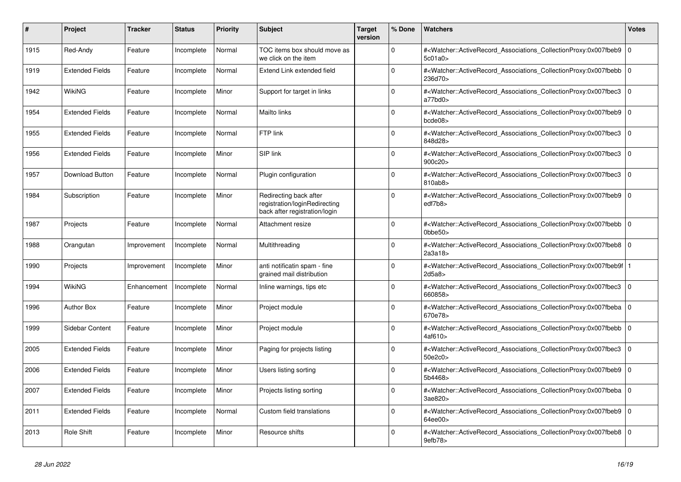| #    | Project                | <b>Tracker</b> | <b>Status</b> | <b>Priority</b> | <b>Subject</b>                                                                           | <b>Target</b><br>version | % Done      | <b>Watchers</b>                                                                                                                                                           | <b>Votes</b> |
|------|------------------------|----------------|---------------|-----------------|------------------------------------------------------------------------------------------|--------------------------|-------------|---------------------------------------------------------------------------------------------------------------------------------------------------------------------------|--------------|
| 1915 | Red-Andy               | Feature        | Incomplete    | Normal          | TOC items box should move as<br>we click on the item                                     |                          | $\Omega$    | # <watcher::activerecord_associations_collectionproxy:0x007fbeb9<br>5c01a0&gt;</watcher::activerecord_associations_collectionproxy:0x007fbeb9<br>                         | $\mathbf 0$  |
| 1919 | <b>Extended Fields</b> | Feature        | Incomplete    | Normal          | Extend Link extended field                                                               |                          | $\Omega$    | # <watcher::activerecord_associations_collectionproxy:0x007fbebb  <br="">236d70&gt;</watcher::activerecord_associations_collectionproxy:0x007fbebb>                       | $\mathbf 0$  |
| 1942 | WikiNG                 | Feature        | Incomplete    | Minor           | Support for target in links                                                              |                          | $\Omega$    | # <watcher::activerecord_associations_collectionproxy:0x007fbec3 0<br="">a77bd0&gt;</watcher::activerecord_associations_collectionproxy:0x007fbec3>                       |              |
| 1954 | <b>Extended Fields</b> | Feature        | Incomplete    | Normal          | Mailto links                                                                             |                          | $\Omega$    | # <watcher::activerecord_associations_collectionproxy:0x007fbeb9<br>bcde08</watcher::activerecord_associations_collectionproxy:0x007fbeb9<br>                             | $\Omega$     |
| 1955 | <b>Extended Fields</b> | Feature        | Incomplete    | Normal          | FTP link                                                                                 |                          | $\Omega$    | # <watcher::activerecord_associations_collectionproxy:0x007fbec3<br>848d28&gt;</watcher::activerecord_associations_collectionproxy:0x007fbec3<br>                         | $\mathbf 0$  |
| 1956 | <b>Extended Fields</b> | Feature        | Incomplete    | Minor           | SIP link                                                                                 |                          | $\Omega$    | # <watcher::activerecord associations="" collectionproxy:0x007fbec3<br="">900c20&gt;</watcher::activerecord>                                                              | $\Omega$     |
| 1957 | Download Button        | Feature        | Incomplete    | Normal          | Plugin configuration                                                                     |                          | $\Omega$    | # <watcher::activerecord associations="" collectionproxy:0x007fbec3<br="">810ab8&gt;</watcher::activerecord>                                                              | $\mathbf 0$  |
| 1984 | Subscription           | Feature        | Incomplete    | Minor           | Redirecting back after<br>registration/loginRedirecting<br>back after registration/login |                          | $\Omega$    | # <watcher::activerecord_associations_collectionproxy:0x007fbeb9  <br="">edf7b8&gt;</watcher::activerecord_associations_collectionproxy:0x007fbeb9>                       | $\mathbf 0$  |
| 1987 | Projects               | Feature        | Incomplete    | Normal          | Attachment resize                                                                        |                          | $\Omega$    | # <watcher::activerecord_associations_collectionproxy:0x007fbebb  <br=""><math>0</math>bbe<math>50</math></watcher::activerecord_associations_collectionproxy:0x007fbebb> | $\mathbf 0$  |
| 1988 | Orangutan              | Improvement    | Incomplete    | Normal          | Multithreading                                                                           |                          | $\Omega$    | # <watcher::activerecord_associations_collectionproxy:0x007fbeb8<br>2a3a18</watcher::activerecord_associations_collectionproxy:0x007fbeb8<br>                             | $\Omega$     |
| 1990 | Projects               | Improvement    | Incomplete    | Minor           | anti notificatin spam - fine<br>grained mail distribution                                |                          | $\Omega$    | # <watcher::activerecord associations="" collectionproxy:0x007fbeb9f<br="">2d5a8</watcher::activerecord>                                                                  |              |
| 1994 | <b>WikiNG</b>          | Enhancement    | Incomplete    | Normal          | Inline warnings, tips etc                                                                |                          | $\Omega$    | # <watcher::activerecord associations="" collectionproxy:0x007fbec3<br="">660858&gt;</watcher::activerecord>                                                              | $\mathbf 0$  |
| 1996 | <b>Author Box</b>      | Feature        | Incomplete    | Minor           | Project module                                                                           |                          | $\Omega$    | # <watcher::activerecord_associations_collectionproxy:0x007fbeba  <br="">670e78&gt;</watcher::activerecord_associations_collectionproxy:0x007fbeba>                       | $\mathbf 0$  |
| 1999 | Sidebar Content        | Feature        | Incomplete    | Minor           | Project module                                                                           |                          | $\Omega$    | # <watcher::activerecord associations="" collectionproxy:0x007fbebb=""  <br="">4af610&gt;</watcher::activerecord>                                                         | $\mathbf 0$  |
| 2005 | <b>Extended Fields</b> | Feature        | Incomplete    | Minor           | Paging for projects listing                                                              |                          | $\Omega$    | # <watcher::activerecord_associations_collectionproxy:0x007fbec3<br>50e2c0&gt;</watcher::activerecord_associations_collectionproxy:0x007fbec3<br>                         | $\mathbf 0$  |
| 2006 | <b>Extended Fields</b> | Feature        | Incomplete    | Minor           | Users listing sorting                                                                    |                          | $\mathbf 0$ | # <watcher::activerecord_associations_collectionproxy:0x007fbeb9<br>5b4468&gt;</watcher::activerecord_associations_collectionproxy:0x007fbeb9<br>                         | $\mathbf 0$  |
| 2007 | <b>Extended Fields</b> | Feature        | Incomplete    | Minor           | Projects listing sorting                                                                 |                          | $\Omega$    | # <watcher::activerecord_associations_collectionproxy:0x007fbeba 0<br=""  ="">3ae820&gt;</watcher::activerecord_associations_collectionproxy:0x007fbeba>                  |              |
| 2011 | <b>Extended Fields</b> | Feature        | Incomplete    | Normal          | Custom field translations                                                                |                          | $\Omega$    | # <watcher::activerecord associations="" collectionproxy:0x007fbeb9<br="">64ee00&gt;</watcher::activerecord>                                                              | $\mathbf 0$  |
| 2013 | <b>Role Shift</b>      | Feature        | Incomplete    | Minor           | Resource shifts                                                                          |                          | $\Omega$    | # <watcher::activerecord_associations_collectionproxy:0x007fbeb8  <br="">9efb78&gt;</watcher::activerecord_associations_collectionproxy:0x007fbeb8>                       | $\mathbf 0$  |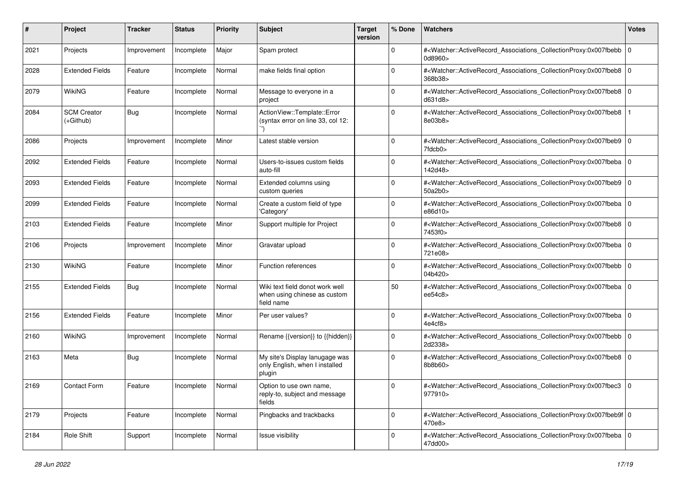| #    | Project                           | Tracker     | <b>Status</b> | <b>Priority</b> | <b>Subject</b>                                                                | <b>Target</b><br>version | % Done      | Watchers                                                                                                                                                 | <b>Votes</b> |
|------|-----------------------------------|-------------|---------------|-----------------|-------------------------------------------------------------------------------|--------------------------|-------------|----------------------------------------------------------------------------------------------------------------------------------------------------------|--------------|
| 2021 | Projects                          | Improvement | Incomplete    | Major           | Spam protect                                                                  |                          | $\mathbf 0$ | # <watcher::activerecord_associations_collectionproxy:0x007fbebb  <br="">0d8960&gt;</watcher::activerecord_associations_collectionproxy:0x007fbebb>      | $\mathbf 0$  |
| 2028 | <b>Extended Fields</b>            | Feature     | Incomplete    | Normal          | make fields final option                                                      |                          | $\Omega$    | # <watcher::activerecord_associations_collectionproxy:0x007fbeb8 0<br="">368b38&gt;</watcher::activerecord_associations_collectionproxy:0x007fbeb8>      |              |
| 2079 | <b>WikiNG</b>                     | Feature     | Incomplete    | Normal          | Message to everyone in a<br>project                                           |                          | $\Omega$    | # <watcher::activerecord_associations_collectionproxy:0x007fbeb8 0<br="">d631d8&gt;</watcher::activerecord_associations_collectionproxy:0x007fbeb8>      |              |
| 2084 | <b>SCM Creator</b><br>$(+Github)$ | Bug         | Incomplete    | Normal          | ActionView::Template::Error<br>(syntax error on line 33, col 12:              |                          | $\Omega$    | # <watcher::activerecord_associations_collectionproxy:0x007fbeb8<br>8e03b8&gt;</watcher::activerecord_associations_collectionproxy:0x007fbeb8<br>        |              |
| 2086 | Projects                          | Improvement | Incomplete    | Minor           | Latest stable version                                                         |                          | $\mathbf 0$ | # <watcher::activerecord_associations_collectionproxy:0x007fbeb9<br>7fdcb0&gt;</watcher::activerecord_associations_collectionproxy:0x007fbeb9<br>        | 0            |
| 2092 | <b>Extended Fields</b>            | Feature     | Incomplete    | Normal          | Users-to-issues custom fields<br>auto-fill                                    |                          | $\Omega$    | # <watcher::activerecord_associations_collectionproxy:0x007fbeba 0<br=""  ="">142d48&gt;</watcher::activerecord_associations_collectionproxy:0x007fbeba> |              |
| 2093 | <b>Extended Fields</b>            | Feature     | Incomplete    | Normal          | Extended columns using<br>custom queries                                      |                          | $\Omega$    | # <watcher::activerecord_associations_collectionproxy:0x007fbeb9 0<br=""  ="">50a2b0&gt;</watcher::activerecord_associations_collectionproxy:0x007fbeb9> |              |
| 2099 | <b>Extended Fields</b>            | Feature     | Incomplete    | Normal          | Create a custom field of type<br>'Category'                                   |                          | $\Omega$    | # <watcher::activerecord_associations_collectionproxy:0x007fbeba 0<br=""  ="">e86d10&gt;</watcher::activerecord_associations_collectionproxy:0x007fbeba> |              |
| 2103 | <b>Extended Fields</b>            | Feature     | Incomplete    | Minor           | Support multiple for Project                                                  |                          | $\mathbf 0$ | # <watcher::activerecord_associations_collectionproxy:0x007fbeb8 0<br="">7453f0&gt;</watcher::activerecord_associations_collectionproxy:0x007fbeb8>      |              |
| 2106 | Projects                          | Improvement | Incomplete    | Minor           | Gravatar upload                                                               |                          | $\Omega$    | # <watcher::activerecord_associations_collectionproxy:0x007fbeba 0<br="">721e08&gt;</watcher::activerecord_associations_collectionproxy:0x007fbeba>      |              |
| 2130 | <b>WikiNG</b>                     | Feature     | Incomplete    | Minor           | Function references                                                           |                          | $\Omega$    | # <watcher::activerecord_associations_collectionproxy:0x007fbebb 0<br=""  ="">04b420&gt;</watcher::activerecord_associations_collectionproxy:0x007fbebb> |              |
| 2155 | <b>Extended Fields</b>            | Bug         | Incomplete    | Normal          | Wiki text field donot work well<br>when using chinese as custom<br>field name |                          | 50          | # <watcher::activerecord_associations_collectionproxy:0x007fbeba 0<br=""  ="">ee54c8&gt;</watcher::activerecord_associations_collectionproxy:0x007fbeba> |              |
| 2156 | <b>Extended Fields</b>            | Feature     | Incomplete    | Minor           | Per user values?                                                              |                          | $\Omega$    | # <watcher::activerecord_associations_collectionproxy:0x007fbeba 0<br=""  ="">4e4cf8&gt;</watcher::activerecord_associations_collectionproxy:0x007fbeba> |              |
| 2160 | <b>WikiNG</b>                     | Improvement | Incomplete    | Normal          | Rename {{version}} to {{hidden}}                                              |                          | $\Omega$    | # <watcher::activerecord_associations_collectionproxy:0x007fbebb 0<br=""  ="">2d2338&gt;</watcher::activerecord_associations_collectionproxy:0x007fbebb> |              |
| 2163 | Meta                              | Bug         | Incomplete    | Normal          | My site's Display lanugage was<br>only English, when I installed<br>plugin    |                          | $\Omega$    | # <watcher::activerecord_associations_collectionproxy:0x007fbeb8 0<br="">8b8b60&gt;</watcher::activerecord_associations_collectionproxy:0x007fbeb8>      |              |
| 2169 | Contact Form                      | Feature     | Incomplete    | Normal          | Option to use own name,<br>reply-to, subject and message<br>fields            |                          |             | # <watcher::activerecord_associations_collectionproxy:0x007fbec3 0<br=""  ="">977910&gt;</watcher::activerecord_associations_collectionproxy:0x007fbec3> |              |
| 2179 | Projects                          | Feature     | Incomplete    | Normal          | Pingbacks and trackbacks                                                      |                          | $\mathbf 0$ | # <watcher::activerecord 0<br="" associations="" collectionproxy:0x007fbeb9f="">470e8&gt;</watcher::activerecord>                                        |              |
| 2184 | Role Shift                        | Support     | Incomplete    | Normal          | Issue visibility                                                              |                          | 0           | # <watcher::activerecord 0<br="" associations="" collectionproxy:0x007fbeba="">47dd00&gt;</watcher::activerecord>                                        |              |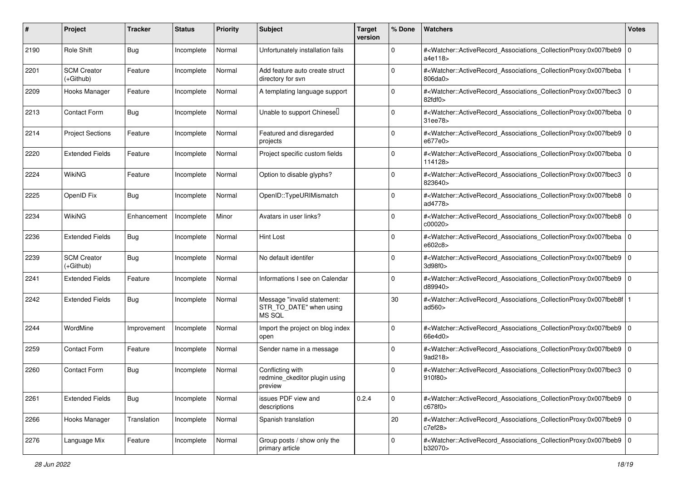| #    | Project                           | Tracker     | <b>Status</b> | <b>Priority</b> | <b>Subject</b>                                                   | <b>Target</b><br>version | % Done      | Watchers                                                                                                                                                                    | <b>Votes</b> |
|------|-----------------------------------|-------------|---------------|-----------------|------------------------------------------------------------------|--------------------------|-------------|-----------------------------------------------------------------------------------------------------------------------------------------------------------------------------|--------------|
| 2190 | <b>Role Shift</b>                 | Bug         | Incomplete    | Normal          | Unfortunately installation fails                                 |                          | $\mathbf 0$ | # <watcher::activerecord_associations_collectionproxy:0x007fbeb9<br>a4e118&gt;</watcher::activerecord_associations_collectionproxy:0x007fbeb9<br>                           | $\mathbf 0$  |
| 2201 | <b>SCM Creator</b><br>$(+Github)$ | Feature     | Incomplete    | Normal          | Add feature auto create struct<br>directory for svn              |                          | $\Omega$    | # <watcher::activerecord_associations_collectionproxy:0x007fbeba<br>806da0</watcher::activerecord_associations_collectionproxy:0x007fbeba<br>                               |              |
| 2209 | Hooks Manager                     | Feature     | Incomplete    | Normal          | A templating language support                                    |                          | $\Omega$    | # <watcher::activerecord_associations_collectionproxy:0x007fbec3<br><math>82</math>fdf<math>0&gt;</math></watcher::activerecord_associations_collectionproxy:0x007fbec3<br> | $\mathbf 0$  |
| 2213 | <b>Contact Form</b>               | Bug         | Incomplete    | Normal          | Unable to support Chinesell                                      |                          | $\mathbf 0$ | # <watcher::activerecord_associations_collectionproxy:0x007fbeba 0<br=""  ="">31ee78&gt;</watcher::activerecord_associations_collectionproxy:0x007fbeba>                    |              |
| 2214 | <b>Project Sections</b>           | Feature     | Incomplete    | Normal          | Featured and disregarded<br>projects                             |                          | $\Omega$    | # <watcher::activerecord_associations_collectionproxy:0x007fbeb9 0<br="">e677e0&gt;</watcher::activerecord_associations_collectionproxy:0x007fbeb9>                         |              |
| 2220 | <b>Extended Fields</b>            | Feature     | Incomplete    | Normal          | Project specific custom fields                                   |                          | $\Omega$    | # <watcher::activerecord_associations_collectionproxy:0x007fbeba  <br="">114128&gt;</watcher::activerecord_associations_collectionproxy:0x007fbeba>                         | $\mathbf 0$  |
| 2224 | WikiNG                            | Feature     | Incomplete    | Normal          | Option to disable glyphs?                                        |                          | $\Omega$    | # <watcher::activerecord_associations_collectionproxy:0x007fbec3<br>823640&gt;</watcher::activerecord_associations_collectionproxy:0x007fbec3<br>                           | $\mathbf 0$  |
| 2225 | OpenID Fix                        | Bug         | Incomplete    | Normal          | OpenID::TypeURIMismatch                                          |                          | $\mathbf 0$ | # <watcher::activerecord_associations_collectionproxy:0x007fbeb8 0<br="">ad4778&gt;</watcher::activerecord_associations_collectionproxy:0x007fbeb8>                         |              |
| 2234 | <b>WikiNG</b>                     | Enhancement | Incomplete    | Minor           | Avatars in user links?                                           |                          | $\Omega$    | # <watcher::activerecord_associations_collectionproxy:0x007fbeb8 0<br="">c00020&gt;</watcher::activerecord_associations_collectionproxy:0x007fbeb8>                         |              |
| 2236 | <b>Extended Fields</b>            | Bug         | Incomplete    | Normal          | Hint Lost                                                        |                          | $\Omega$    | # <watcher::activerecord_associations_collectionproxy:0x007fbeba 0<br=""  ="">e602c8&gt;</watcher::activerecord_associations_collectionproxy:0x007fbeba>                    |              |
| 2239 | <b>SCM Creator</b><br>$(+Github)$ | Bug         | Incomplete    | Normal          | No default identifer                                             |                          | $\Omega$    | # <watcher::activerecord_associations_collectionproxy:0x007fbeb9<br>3d98f0&gt;</watcher::activerecord_associations_collectionproxy:0x007fbeb9<br>                           | $\mathbf 0$  |
| 2241 | <b>Extended Fields</b>            | Feature     | Incomplete    | Normal          | Informations I see on Calendar                                   |                          | $\Omega$    | # <watcher::activerecord_associations_collectionproxy:0x007fbeb9 0<br="">d89940&gt;</watcher::activerecord_associations_collectionproxy:0x007fbeb9>                         |              |
| 2242 | <b>Extended Fields</b>            | Bug         | Incomplete    | Normal          | Message "invalid statement:<br>STR_TO_DATE" when using<br>MS SQL |                          | 30          | # <watcher::activerecord_associations_collectionproxy:0x007fbeb8f<br>ad<math>560</math></watcher::activerecord_associations_collectionproxy:0x007fbeb8f<br>                 |              |
| 2244 | WordMine                          | Improvement | Incomplete    | Normal          | Import the project on blog index<br>open                         |                          | $\Omega$    | # <watcher::activerecord_associations_collectionproxy:0x007fbeb9<br>66e4d0&gt;</watcher::activerecord_associations_collectionproxy:0x007fbeb9<br>                           | 0            |
| 2259 | <b>Contact Form</b>               | Feature     | Incomplete    | Normal          | Sender name in a message                                         |                          | $\Omega$    | # <watcher::activerecord_associations_collectionproxy:0x007fbeb9  <br="">9ad218&gt;</watcher::activerecord_associations_collectionproxy:0x007fbeb9>                         | $\mathbf 0$  |
| 2260 | <b>Contact Form</b>               | <b>Bug</b>  | Incomplete    | Normal          | Conflicting with<br>redmine_ckeditor plugin using<br>preview     |                          | $\Omega$    | # <watcher::activerecord_associations_collectionproxy:0x007fbec3<br>910f80&gt;</watcher::activerecord_associations_collectionproxy:0x007fbec3<br>                           | $\mathbf 0$  |
| 2261 | <b>Extended Fields</b>            | Bug         | Incomplete    | Normal          | issues PDF view and<br>descriptions                              | 0.2.4                    | 0           | # <watcher::activerecord_associations_collectionproxy:0x007fbeb9 0<br=""  ="">c678f0&gt;</watcher::activerecord_associations_collectionproxy:0x007fbeb9>                    |              |
| 2266 | Hooks Manager                     | Translation | Incomplete    | Normal          | Spanish translation                                              |                          | 20          | # <watcher::activerecord_associations_collectionproxy:0x007fbeb9 0<br="">c7ef28</watcher::activerecord_associations_collectionproxy:0x007fbeb9>                             |              |
| 2276 | Language Mix                      | Feature     | Incomplete    | Normal          | Group posts / show only the<br>primary article                   |                          | 0           | # <watcher::activerecord_associations_collectionproxy:0x007fbeb9 0<br=""  ="">b32070&gt;</watcher::activerecord_associations_collectionproxy:0x007fbeb9>                    |              |